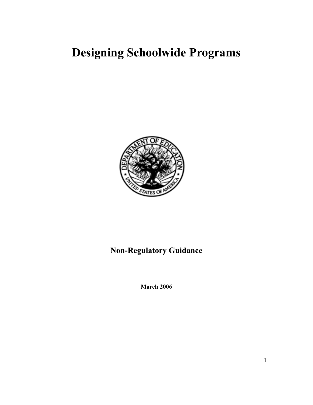# **Designing Schoolwide Programs**



## **Non-Regulatory Guidance**

**March 2006**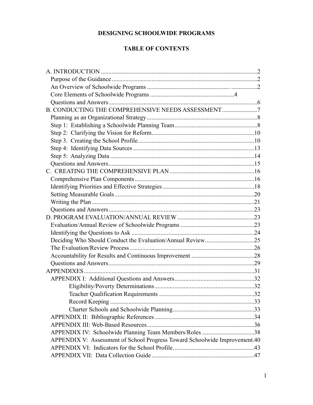## **DESIGNING SCHOOLWIDE PROGRAMS**

## **TABLE OF CONTENTS**

| B. CONDUCTING THE COMPREHENSIVE NEEDS ASSESSMENT                           |  |
|----------------------------------------------------------------------------|--|
|                                                                            |  |
|                                                                            |  |
|                                                                            |  |
|                                                                            |  |
|                                                                            |  |
|                                                                            |  |
|                                                                            |  |
|                                                                            |  |
|                                                                            |  |
|                                                                            |  |
|                                                                            |  |
|                                                                            |  |
|                                                                            |  |
|                                                                            |  |
|                                                                            |  |
|                                                                            |  |
| Deciding Who Should Conduct the Evaluation/Annual Review25                 |  |
|                                                                            |  |
|                                                                            |  |
|                                                                            |  |
|                                                                            |  |
|                                                                            |  |
|                                                                            |  |
|                                                                            |  |
|                                                                            |  |
|                                                                            |  |
|                                                                            |  |
|                                                                            |  |
| APPENDIX IV: Schoolwide Planning Team Members/Roles 38                     |  |
| APPENDIX V: Assessment of School Progress Toward Schoolwide Improvement.40 |  |
|                                                                            |  |
|                                                                            |  |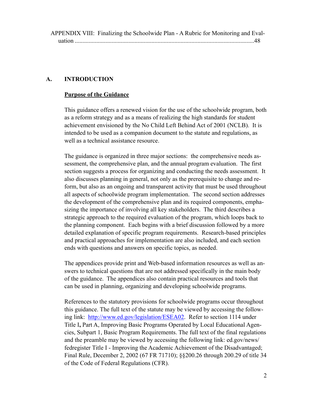APPENDIX VIII: Finalizing the Schoolwide Plan - A Rubric for Monitoring and Evaluation 48 .....................................................................................................................

#### **A. INTRODUCTION**

#### **Purpose of the Guidance**

This guidance offers a renewed vision for the use of the schoolwide program, both as a reform strategy and as a means of realizing the high standards for student achievement envisioned by the No Child Left Behind Act of 2001 (NCLB). It is intended to be used as a companion document to the statute and regulations, as well as a technical assistance resource.

The guidance is organized in three major sections: the comprehensive needs assessment, the comprehensive plan, and the annual program evaluation. The first section suggests a process for organizing and conducting the needs assessment. It also discusses planning in general, not only as the prerequisite to change and reform, but also as an ongoing and transparent activity that must be used throughout all aspects of schoolwide program implementation. The second section addresses the development of the comprehensive plan and its required components, emphasizing the importance of involving all key stakeholders. The third describes a strategic approach to the required evaluation of the program, which loops back to the planning component. Each begins with a brief discussion followed by a more detailed explanation of specific program requirements. Research-based principles and practical approaches for implementation are also included, and each section ends with questions and answers on specific topics, as needed.

The appendices provide print and Web-based information resources as well as answers to technical questions that are not addressed specifically in the main body of the guidance. The appendices also contain practical resources and tools that can be used in planning, organizing and developing schoolwide programs.

References to the statutory provisions for schoolwide programs occur throughout this guidance. The full text of the statute may be viewed by accessing the following link: [http://www.ed.gov/legislation/ESEA02](http://www.ed.gov/legislation/esea02).Refer to section 1114 under Title I**,** Part A, Improving Basic Programs Operated by Local Educational Agencies, Subpart 1, Basic Program Requirements. The full text of the final regulations and the preamble may be viewed by accessing the following link: ed.gov/news/ fedregister Title I - Improving the Academic Achievement of the Disadvantaged; Final Rule, December 2, 2002 (67 FR 71710); §§200.26 through 200.29 of title 34 of the Code of Federal Regulations (CFR).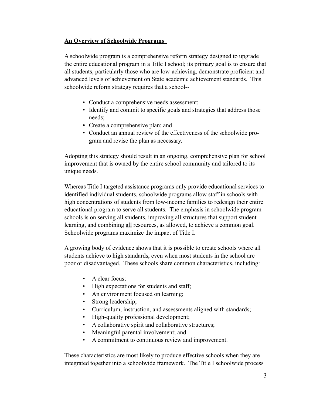#### **An Overview of Schoolwide Programs**

A schoolwide program is a comprehensive reform strategy designed to upgrade the entire educational program in a Title I school; its primary goal is to ensure that all students, particularly those who are low-achieving, demonstrate proficient and advanced levels of achievement on State academic achievement standards. This schoolwide reform strategy requires that a school--

- Conduct a comprehensive needs assessment;
- Identify and commit to specific goals and strategies that address those needs;
- **•** Create a comprehensive plan; and
- Conduct an annual review of the effectiveness of the schoolwide program and revise the plan as necessary.

Adopting this strategy should result in an ongoing, comprehensive plan for school improvement that is owned by the entire school community and tailored to its unique needs.

Whereas Title I targeted assistance programs only provide educational services to identified individual students, schoolwide programs allow staff in schools with high concentrations of students from low-income families to redesign their entire educational program to serve all students. The emphasis in schoolwide program schools is on serving all students, improving all structures that support student learning, and combining all resources, as allowed, to achieve a common goal. Schoolwide programs maximize the impact of Title I.

A growing body of evidence shows that it is possible to create schools where all students achieve to high standards, even when most students in the school are poor or disadvantaged. These schools share common characteristics, including:

- A clear focus;
- High expectations for students and staff;
- An environment focused on learning;
- Strong leadership;
- Curriculum, instruction, and assessments aligned with standards;
- High-quality professional development;
- A collaborative spirit and collaborative structures;
- Meaningful parental involvement; and
- A commitment to continuous review and improvement.

These characteristics are most likely to produce effective schools when they are integrated together into a schoolwide framework. The Title I schoolwide process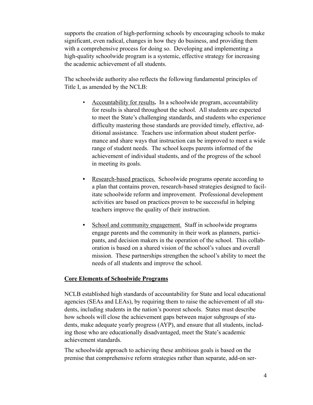supports the creation of high-performing schools by encouraging schools to make significant, even radical, changes in how they do business, and providing them with a comprehensive process for doing so. Developing and implementing a high-quality schoolwide program is a systemic, effective strategy for increasing the academic achievement of all students.

The schoolwide authority also reflects the following fundamental principles of Title I, as amended by the NCLB:

- Accountability for results**.** In a schoolwide program, accountability for results is shared throughout the school. All students are expected to meet the State's challenging standards, and students who experience difficulty mastering those standards are provided timely, effective, additional assistance. Teachers use information about student performance and share ways that instruction can be improved to meet a wide range of student needs. The school keeps parents informed of the achievement of individual students, and of the progress of the school in meeting its goals.
- **•** Research-based practices.Schoolwide programs operate according to a plan that contains proven, research-based strategies designed to facilitate schoolwide reform and improvement. Professional development activities are based on practices proven to be successful in helping teachers improve the quality of their instruction.
- School and community engagement. Staff in schoolwide programs engage parents and the community in their work as planners, participants, and decision makers in the operation of the school. This collaboration is based on a shared vision of the school's values and overall mission. These partnerships strengthen the school's ability to meet the needs of all students and improve the school.

#### **Core Elements of Schoolwide Programs**

NCLB established high standards of accountability for State and local educational agencies (SEAs and LEAs), by requiring them to raise the achievement of all students, including students in the nation's poorest schools. States must describe how schools will close the achievement gaps between major subgroups of students, make adequate yearly progress (AYP), and ensure that all students, including those who are educationally disadvantaged, meet the State's academic achievement standards.

The schoolwide approach to achieving these ambitious goals is based on the premise that comprehensive reform strategies rather than separate, add-on ser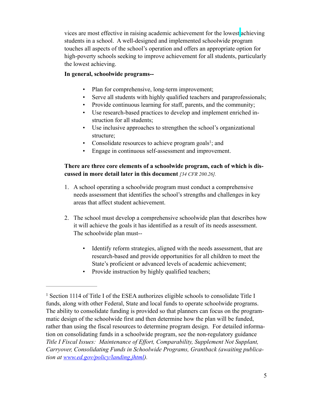vices are most effective in raising academic achievement for the lowest achieving students in a school. A well-designed and implemented schoolwide program touches all aspects of the school's operation and offers an appropriate option for high-poverty schools seeking to improve achievement for all students, particularly the lowest achieving.

## **In general, schoolwide programs--**

- Plan for comprehensive, long-term improvement;
- Serve all students with highly qualified teachers and paraprofessionals;
- Provide continuous learning for staff, parents, and the community;
- Use research-based practices to develop and implement enriched instruction for all students;
- Use inclusive approaches to strengthen the school's organizational structure;
- Consolidate resources to achieve program goals<sup>1</sup>; and
- Engage in continuous self-assessment and improvement.

## **There are three core elements of a schoolwide program, each of which is discussed in more detail later in this document** *[34 CFR 200.26].*

- 1. A school operating a schoolwide program must conduct a comprehensive needs assessment that identifies the school's strengths and challenges in key areas that affect student achievement.
- 2. The school must develop a comprehensive schoolwide plan that describes how it will achieve the goals it has identified as a result of its needs assessment. The schoolwide plan must--
	- Identify reform strategies, aligned with the needs assessment, that are research-based and provide opportunities for all children to meet the State's proficient or advanced levels of academic achievement;
	- Provide instruction by highly qualified teachers;

<sup>&</sup>lt;sup>1</sup> Section 1114 of Title I of the ESEA authorizes eligible schools to consolidate Title I funds, along with other Federal, State and local funds to operate schoolwide programs. The ability to consolidate funding is provided so that planners can focus on the programmatic design of the schoolwide first and then determine how the plan will be funded, rather than using the fiscal resources to determine program design. For detailed information on consolidating funds in a schoolwide program, see the non-regulatory guidance *Title I Fiscal Issues: Maintenance of Effort, Comparability, Supplement Not Supplant, Carryover, Consolidating Funds in Schoolwide Programs, Grantback (awaiting publication at [www.ed.gov/policy/landing.jhtml](http://www.ed.gov/policy/landing.jhtml)).*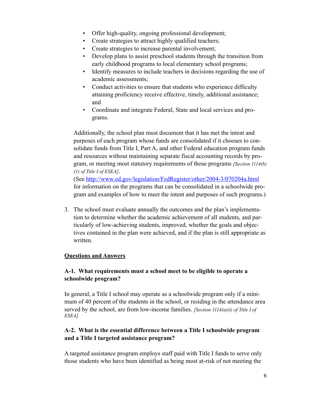- Offer high-quality, ongoing professional development;
- Create strategies to attract highly qualified teachers;
- Create strategies to increase parental involvement;
- Develop plans to assist preschool students through the transition from early childhood programs to local elementary school programs;
- Identify measures to include teachers in decisions regarding the use of academic assessments;
- Conduct activities to ensure that students who experience difficulty attaining proficiency receive effective, timely, additional assistance; and
- Coordinate and integrate Federal, State and local services and programs.

Additionally, the school plan must document that it has met the intent and purposes of each program whose funds are consolidated if it chooses to consolidate funds from Title I, Part A, and other Federal education program funds and resources without maintaining separate fiscal accounting records by program, or meeting most statutory requirements of those programs *[Section 1114(b) (1) of Title I of ESEA]*.

(See [http://www.ed.gov/legislation/FedRegister/other/2004-3/070204a.html](http://www.ed.gov/legislation/fedregister/other/2004-3/070204a.html) for information on the programs that can be consolidated in a schoolwide program and examples of how to meet the intent and purposes of such programs.)

3. The school must evaluate annually the outcomes and the plan's implementation to determine whether the academic achievement of all students, and particularly of low-achieving students, improved, whether the goals and objectives contained in the plan were achieved, and if the plan is still appropriate as written.

## **Questions and Answers**

## **A-1. What requirements must a school meet to be eligible to operate a schoolwide program?**

In general, a Title I school may operate as a schoolwide program only if a minimum of 40 percent of the students in the school, or residing in the attendance area served by the school, are from low-income families. *[Section 1114(a)(i) of Title I of ESEA].*

## **A-2. What is the essential difference between a Title I schoolwide program and a Title I targeted assistance program?**

A targeted assistance program employs staff paid with Title I funds to serve only those students who have been identified as being most at-risk of not meeting the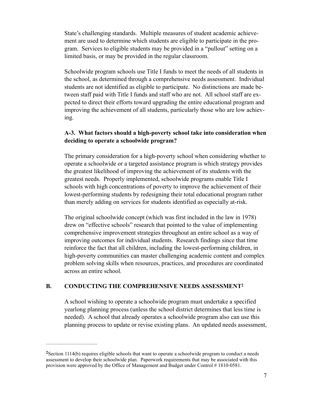State's challenging standards. Multiple measures of student academic achievement are used to determine which students are eligible to participate in the program. Services to eligible students may be provided in a "pullout" setting on a limited basis, or may be provided in the regular classroom.

Schoolwide program schools use Title I funds to meet the needs of all students in the school, as determined through a comprehensive needs assessment. Individual students are not identified as eligible to participate. No distinctions are made between staff paid with Title I funds and staff who are not. All school staff are expected to direct their efforts toward upgrading the entire educational program and improving the achievement of all students, particularly those who are low achieving.

#### **A-3. What factors should a high-poverty school take into consideration when deciding to operate a schoolwide program?**

The primary consideration for a high-poverty school when considering whether to operate a schoolwide or a targeted assistance program is which strategy provides the greatest likelihood of improving the achievement of its students with the greatest needs. Properly implemented, schoolwide programs enable Title I schools with high concentrations of poverty to improve the achievement of their lowest-performing students by redesigning their total educational program rather than merely adding on services for students identified as especially at-risk.

The original schoolwide concept (which was first included in the law in 1978) drew on "effective schools" research that pointed to the value of implementing comprehensive improvement strategies throughout an entire school as a way of improving outcomes for individual students. Research findings since that time reinforce the fact that all children, including the lowest-performing children, in high-poverty communities can master challenging academic content and complex problem solving skills when resources, practices, and procedures are coordinated across an entire school.

#### **B. CONDUCTING THE COMPREHENSIVE NEEDS ASSESSMENT2**

A school wishing to operate a schoolwide program must undertake a specified yearlong planning process (unless the school district determines that less time is needed). A school that already operates a schoolwide program also can use this planning process to update or revise existing plans. An updated needs assessment,

Section 1114(b) requires eligible schools that want to operate a schoolwide program to conduct a needs **<sup>2</sup>** assessment to develop their schoolwide plan. Paperwork requirements that may be associated with this provision were approved by the Office of Management and Budget under Control # 1810-0581.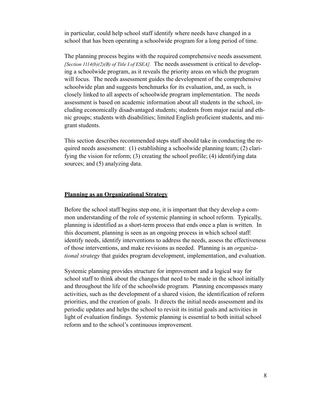in particular, could help school staff identify where needs have changed in a school that has been operating a schoolwide program for a long period of time.

The planning process begins with the required comprehensive needs assessment. *[Section 1114(b)(2)(B) of Title I of ESEA].* The needs assessment is critical to developing a schoolwide program, as it reveals the priority areas on which the program will focus. The needs assessment guides the development of the comprehensive schoolwide plan and suggests benchmarks for its evaluation, and, as such, is closely linked to all aspects of schoolwide program implementation. The needs assessment is based on academic information about all students in the school, including economically disadvantaged students; students from major racial and ethnic groups; students with disabilities; limited English proficient students, and migrant students.

This section describes recommended steps staff should take in conducting the required needs assessment: (1) establishing a schoolwide planning team; (2) clarifying the vision for reform; (3) creating the school profile; (4) identifying data sources; and  $(5)$  analyzing data.

#### **Planning as an Organizational Strategy**

Before the school staff begins step one, it is important that they develop a common understanding of the role of systemic planning in school reform. Typically, planning is identified as a short-term process that ends once a plan is written. In this document, planning is seen as an ongoing process in which school staff: identify needs, identify interventions to address the needs, assess the effectiveness of those interventions, and make revisions as needed. Planning is an *organizational strategy* that guides program development, implementation, and evaluation.

Systemic planning provides structure for improvement and a logical way for school staff to think about the changes that need to be made in the school initially and throughout the life of the schoolwide program. Planning encompasses many activities, such as the development of a shared vision, the identification of reform priorities, and the creation of goals. It directs the initial needs assessment and its periodic updates and helps the school to revisit its initial goals and activities in light of evaluation findings. Systemic planning is essential to both initial school reform and to the school's continuous improvement.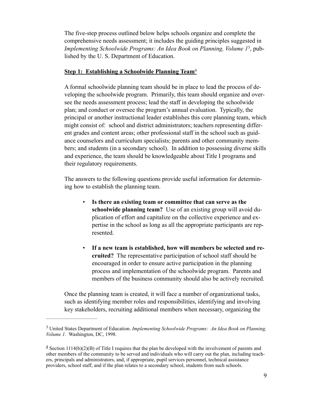The five-step process outlined below helps schools organize and complete the comprehensive needs assessment; it includes the guiding principles suggested in *Implementing Schoolwide Programs: An Idea Book on Planning, Volume 1<sup>3</sup>, pub*lished by the U. S. Department of Education.

#### **Step 1: Establishing a Schoolwide Planning Team**<sup>4</sup>

A formal schoolwide planning team should be in place to lead the process of developing the schoolwide program. Primarily, this team should organize and oversee the needs assessment process; lead the staff in developing the schoolwide plan; and conduct or oversee the program's annual evaluation. Typically, the principal or another instructional leader establishes this core planning team, which might consist of: school and district administrators; teachers representing different grades and content areas; other professional staff in the school such as guidance counselors and curriculum specialists; parents and other community members; and students (in a secondary school). In addition to possessing diverse skills and experience, the team should be knowledgeable about Title I programs and their regulatory requirements.

The answers to the following questions provide useful information for determining how to establish the planning team.

- Is there an existing team or committee that can serve as the **schoolwide planning team?** Use of an existing group will avoid duplication of effort and capitalize on the collective experience and expertise in the school as long as all the appropriate participants are represented.
- **If a new team is established, how will members be selected and recruited?** The representative participation of school staff should be encouraged in order to ensure active participation in the planning process and implementation of the schoolwide program. Parents and members of the business community should also be actively recruited.

Once the planning team is created, it will face a number of organizational tasks, such as identifying member roles and responsibilities, identifying and involving key stakeholders, recruiting additional members when necessary, organizing the

United States Department of Education. *Implementing Schoolwide Programs: An Idea Book on Planning,* <sup>3</sup> *Volume 1.* Washington, DC, 1998.

 $\frac{4}{3}$  Section 1114(b)(2)(B) of Title I requires that the plan be developed with the involvement of parents and other members of the community to be served and individuals who will carry out the plan, including teachers, principals and administrators, and, if appropriate, pupil services personnel, technical assistance providers, school staff, and if the plan relates to a secondary school, students from such schools.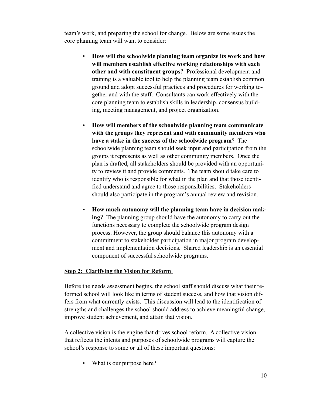team's work, and preparing the school for change. Below are some issues the core planning team will want to consider:

- **How will the schoolwide planning team organize its work and how will members establish effective working relationships with each other and with constituent groups?** Professional development and training is a valuable tool to help the planning team establish common ground and adopt successful practices and procedures for working together and with the staff. Consultants can work effectively with the core planning team to establish skills in leadership, consensus building, meeting management, and project organization.
- **How will members of the schoolwide planning team communicate with the groups they represent and with community members who have a stake in the success of the schoolwide program**?The schoolwide planning team should seek input and participation from the groups it represents as well as other community members. Once the plan is drafted, all stakeholders should be provided with an opportunity to review it and provide comments. The team should take care to identify who is responsible for what in the plan and that those identified understand and agree to those responsibilities. Stakeholders should also participate in the program's annual review and revision.
- **How much autonomy will the planning team have in decision making?** The planning group should have the autonomy to carry out the functions necessary to complete the schoolwide program design process. However, the group should balance this autonomy with a commitment to stakeholder participation in major program development and implementation decisions. Shared leadership is an essential component of successful schoolwide programs.

#### **Step 2: Clarifying the Vision for Reform**

Before the needs assessment begins, the school staff should discuss what their reformed school will look like in terms of student success, and how that vision differs from what currently exists. This discussion will lead to the identification of strengths and challenges the school should address to achieve meaningful change, improve student achievement, and attain that vision.

A collective vision is the engine that drives school reform. A collective vision that reflects the intents and purposes of schoolwide programs will capture the school's response to some or all of these important questions:

What is our purpose here?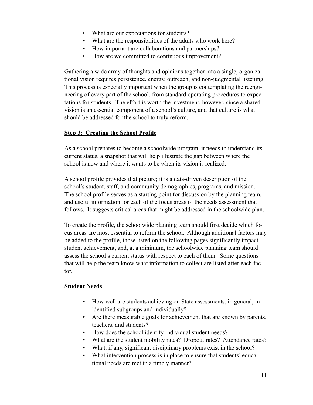- What are our expectations for students?
- What are the responsibilities of the adults who work here?
- How important are collaborations and partnerships?
- How are we committed to continuous improvement?

Gathering a wide array of thoughts and opinions together into a single, organizational vision requires persistence, energy, outreach, and non-judgmental listening. This process is especially important when the group is contemplating the reengineering of every part of the school, from standard operating procedures to expectations for students. The effort is worth the investment, however, since a shared vision is an essential component of a school's culture, and that culture is what should be addressed for the school to truly reform.

## **Step 3: Creating the School Profile**

As a school prepares to become a schoolwide program, it needs to understand its current status, a snapshot that will help illustrate the gap between where the school is now and where it wants to be when its vision is realized.

A school profile provides that picture; it is a data-driven description of the school's student, staff, and community demographics, programs, and mission. The school profile serves as a starting point for discussion by the planning team, and useful information for each of the focus areas of the needs assessment that follows. It suggests critical areas that might be addressed in the schoolwide plan.

To create the profile, the schoolwide planning team should first decide which focus areas are most essential to reform the school. Although additional factors may be added to the profile, those listed on the following pages significantly impact student achievement, and, at a minimum, the schoolwide planning team should assess the school's current status with respect to each of them. Some questions that will help the team know what information to collect are listed after each factor.

#### **Student Needs**

- How well are students achieving on State assessments, in general, in identified subgroups and individually?
- Are there measurable goals for achievement that are known by parents, teachers, and students?
- How does the school identify individual student needs?
- What are the student mobility rates? Dropout rates? Attendance rates?
- What, if any, significant disciplinary problems exist in the school?
- What intervention process is in place to ensure that students' educational needs are met in a timely manner?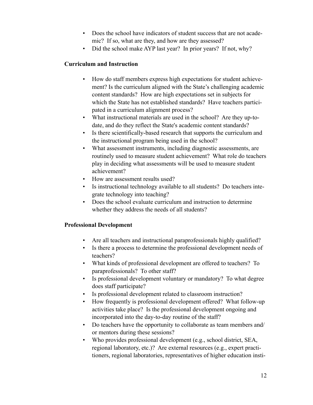- Does the school have indicators of student success that are not academic? If so, what are they, and how are they assessed?
- Did the school make AYP last year? In prior years? If not, why?

#### **Curriculum and Instruction**

- How do staff members express high expectations for student achievement? Is the curriculum aligned with the State's challenging academic content standards? How are high expectations set in subjects for which the State has not established standards? Have teachers participated in a curriculum alignment process?
- What instructional materials are used in the school? Are they up-todate, and do they reflect the State's academic content standards?
- Is there scientifically-based research that supports the curriculum and the instructional program being used in the school?
- What assessment instruments, including diagnostic assessments, are routinely used to measure student achievement? What role do teachers play in deciding what assessments will be used to measure student achievement?
- How are assessment results used?
- Is instructional technology available to all students? Do teachers integrate technology into teaching?
- Does the school evaluate curriculum and instruction to determine whether they address the needs of all students?

## **Professional Development**

- Are all teachers and instructional paraprofessionals highly qualified?
- Is there a process to determine the professional development needs of teachers?
- What kinds of professional development are offered to teachers? To paraprofessionals? To other staff?
- Is professional development voluntary or mandatory? To what degree does staff participate?
- Is professional development related to classroom instruction?
- How frequently is professional development offered? What follow-up activities take place? Is the professional development ongoing and incorporated into the day-to-day routine of the staff?
- Do teachers have the opportunity to collaborate as team members and/ or mentors during these sessions?
- Who provides professional development (e.g., school district, SEA, regional laboratory, etc.)? Are external resources (e.g., expert practitioners, regional laboratories, representatives of higher education insti-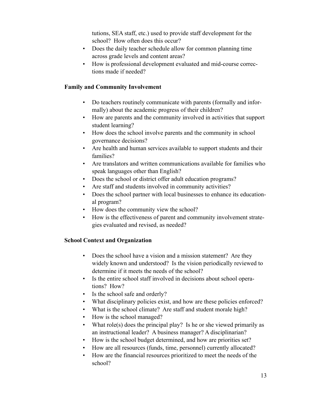tutions, SEA staff, etc.) used to provide staff development for the school? How often does this occur?

- Does the daily teacher schedule allow for common planning time across grade levels and content areas?
- How is professional development evaluated and mid-course corrections made if needed?

#### **Family and Community Involvement**

- Do teachers routinely communicate with parents (formally and informally) about the academic progress of their children?
- How are parents and the community involved in activities that support student learning?
- How does the school involve parents and the community in school governance decisions?
- Are health and human services available to support students and their families?
- Are translators and written communications available for families who speak languages other than English?
- Does the school or district offer adult education programs?
- Are staff and students involved in community activities?
- Does the school partner with local businesses to enhance its educational program?
- How does the community view the school?
- How is the effectiveness of parent and community involvement strategies evaluated and revised, as needed?

## **School Context and Organization**

- Does the school have a vision and a mission statement? Are they widely known and understood? Is the vision periodically reviewed to determine if it meets the needs of the school?
- Is the entire school staff involved in decisions about school operations? How?
- Is the school safe and orderly?
- What disciplinary policies exist, and how are these policies enforced?
- What is the school climate? Are staff and student morale high?
- How is the school managed?
- What role(s) does the principal play? Is he or she viewed primarily as an instructional leader? A business manager? A disciplinarian?
- How is the school budget determined, and how are priorities set?
- How are all resources (funds, time, personnel) currently allocated?
- How are the financial resources prioritized to meet the needs of the school?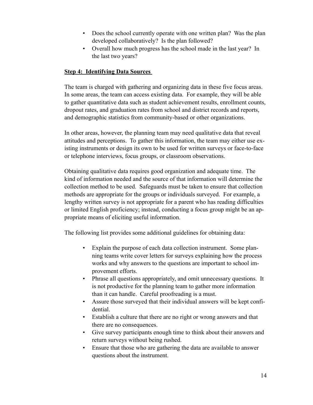- Does the school currently operate with one written plan? Was the plan developed collaboratively? Is the plan followed?
- Overall how much progress has the school made in the last year? In the last two years?

#### **Step 4: Identifying Data Sources**

The team is charged with gathering and organizing data in these five focus areas. In some areas, the team can access existing data. For example, they will be able to gather quantitative data such as student achievement results, enrollment counts, dropout rates, and graduation rates from school and district records and reports, and demographic statistics from community-based or other organizations.

In other areas, however, the planning team may need qualitative data that reveal attitudes and perceptions. To gather this information, the team may either use existing instruments or design its own to be used for written surveys or face-to-face or telephone interviews, focus groups, or classroom observations.

Obtaining qualitative data requires good organization and adequate time. The kind of information needed and the source of that information will determine the collection method to be used. Safeguards must be taken to ensure that collection methods are appropriate for the groups or individuals surveyed. For example, a lengthy written survey is not appropriate for a parent who has reading difficulties or limited English proficiency; instead, conducting a focus group might be an appropriate means of eliciting useful information.

The following list provides some additional guidelines for obtaining data:

- Explain the purpose of each data collection instrument. Some planning teams write cover letters for surveys explaining how the process works and why answers to the questions are important to school improvement efforts.
- Phrase all questions appropriately, and omit unnecessary questions. It is not productive for the planning team to gather more information than it can handle. Careful proofreading is a must.
- Assure those surveyed that their individual answers will be kept confidential.
- Establish a culture that there are no right or wrong answers and that there are no consequences.
- Give survey participants enough time to think about their answers and return surveys without being rushed.
- Ensure that those who are gathering the data are available to answer questions about the instrument.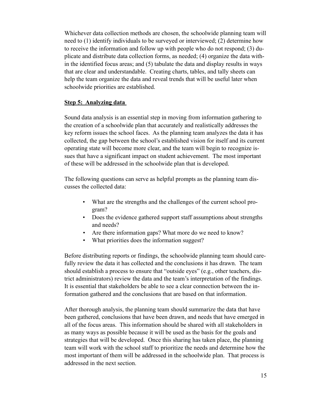Whichever data collection methods are chosen, the schoolwide planning team will need to (1) identify individuals to be surveyed or interviewed; (2) determine how to receive the information and follow up with people who do not respond; (3) duplicate and distribute data collection forms, as needed; (4) organize the data within the identified focus areas; and (5) tabulate the data and display results in ways that are clear and understandable. Creating charts, tables, and tally sheets can help the team organize the data and reveal trends that will be useful later when schoolwide priorities are established.

#### **Step 5: Analyzing data**

Sound data analysis is an essential step in moving from information gathering to the creation of a schoolwide plan that accurately and realistically addresses the key reform issues the school faces. As the planning team analyzes the data it has collected, the gap between the school's established vision for itself and its current operating state will become more clear, and the team will begin to recognize issues that have a significant impact on student achievement. The most important of these will be addressed in the schoolwide plan that is developed.

The following questions can serve as helpful prompts as the planning team discusses the collected data:

- What are the strengths and the challenges of the current school program?
- Does the evidence gathered support staff assumptions about strengths and needs?
- *•* Are there information gaps? What more do we need to know?
- *•* What priorities does the information suggest?

Before distributing reports or findings, the schoolwide planning team should carefully review the data it has collected and the conclusions it has drawn. The team should establish a process to ensure that "outside eyes" (e.g., other teachers, district administrators) review the data and the team's interpretation of the findings. It is essential that stakeholders be able to see a clear connection between the information gathered and the conclusions that are based on that information.

After thorough analysis, the planning team should summarize the data that have been gathered, conclusions that have been drawn, and needs that have emerged in all of the focus areas. This information should be shared with all stakeholders in as many ways as possible because it will be used as the basis for the goals and strategies that will be developed. Once this sharing has taken place, the planning team will work with the school staff to prioritize the needs and determine how the most important of them will be addressed in the schoolwide plan. That process is addressed in the next section.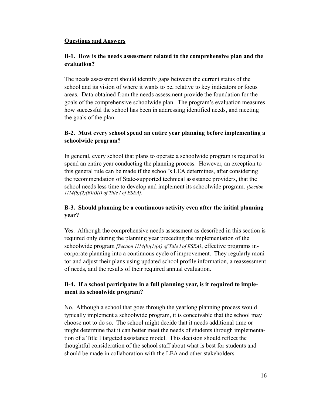#### **Questions and Answers**

## **B-1. How is the needs assessment related to the comprehensive plan and the evaluation?**

The needs assessment should identify gaps between the current status of the school and its vision of where it wants to be, relative to key indicators or focus areas. Data obtained from the needs assessment provide the foundation for the goals of the comprehensive schoolwide plan. The program's evaluation measures how successful the school has been in addressing identified needs, and meeting the goals of the plan.

## **B-2. Must every school spend an entire year planning before implementing a schoolwide program?**

In general, every school that plans to operate a schoolwide program is required to spend an entire year conducting the planning process. However, an exception to this general rule can be made if the school's LEA determines, after considering the recommendation of State-supported technical assistance providers, that the school needs less time to develop and implement its schoolwide program. *[Section 1114(b)(2)(B)(i)(I) of Title I of ESEA].*

## **B-3. Should planning be a continuous activity even after the initial planning year?**

Yes. Although the comprehensive needs assessment as described in this section is required only during the planning year preceding the implementation of the schoolwide program *[Section 1114(b)(1)(A) of Title I of ESEA]*, effective programs incorporate planning into a continuous cycle of improvement. They regularly monitor and adjust their plans using updated school profile information, a reassessment of needs, and the results of their required annual evaluation.

## **B-4. If a school participates in a full planning year, is it required to implement its schoolwide program?**

No. Although a school that goes through the yearlong planning process would typically implement a schoolwide program, it is conceivable that the school may choose not to do so. The school might decide that it needs additional time or might determine that it can better meet the needs of students through implementation of a Title I targeted assistance model. This decision should reflect the thoughtful consideration of the school staff about what is best for students and should be made in collaboration with the LEA and other stakeholders.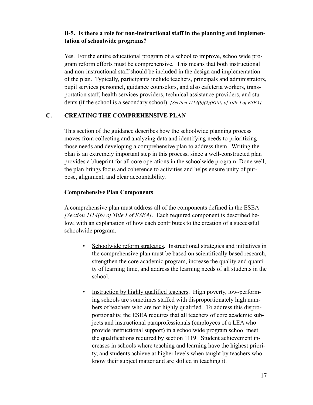## **B-5. Is there a role for non-instructional staff in the planning and implementation of schoolwide programs?**

Yes. For the entire educational program of a school to improve, schoolwide program reform efforts must be comprehensive. This means that both instructional and non-instructional staff should be included in the design and implementation of the plan. Typically, participants include teachers, principals and administrators, pupil services personnel, guidance counselors, and also cafeteria workers, transportation staff, health services providers, technical assistance providers, and students (if the school is a secondary school). *[Section 1114(b)(2)(B)(ii) of Title I of ESEA].*

## **C. CREATING THE COMPREHENSIVE PLAN**

This section of the guidance describes how the schoolwide planning process moves from collecting and analyzing data and identifying needs to prioritizing those needs and developing a comprehensive plan to address them. Writing the plan is an extremely important step in this process, since a well-constructed plan provides a blueprint for all core operations in the schoolwide program. Done well, the plan brings focus and coherence to activities and helps ensure unity of purpose, alignment, and clear accountability.

## **Comprehensive Plan Components**

A comprehensive plan must address all of the components defined in the ESEA *[Section 1114(b) of Title I of ESEA]*. Each required component is described below, with an explanation of how each contributes to the creation of a successful schoolwide program.

- Schoolwide reform strategies. Instructional strategies and initiatives in the comprehensive plan must be based on scientifically based research, strengthen the core academic program, increase the quality and quantity of learning time, and address the learning needs of all students in the school.
- Instruction by highly qualified teachers. High poverty, low-performing schools are sometimes staffed with disproportionately high numbers of teachers who are not highly qualified. To address this disproportionality, the ESEA requires that all teachers of core academic subjects and instructional paraprofessionals (employees of a LEA who provide instructional support) in a schoolwide program school meet the qualifications required by section 1119. Student achievement increases in schools where teaching and learning have the highest priority, and students achieve at higher levels when taught by teachers who know their subject matter and are skilled in teaching it.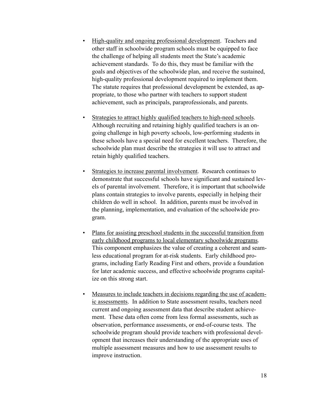- High-quality and ongoing professional development. Teachers and other staff in schoolwide program schools must be equipped to face the challenge of helping all students meet the State's academic achievement standards. To do this, they must be familiar with the goals and objectives of the schoolwide plan, and receive the sustained, high-quality professional development required to implement them. The statute requires that professional development be extended, as appropriate, to those who partner with teachers to support student achievement, such as principals, paraprofessionals, and parents.
- Strategies to attract highly qualified teachers to high-need schools. Although recruiting and retaining highly qualified teachers is an ongoing challenge in high poverty schools, low-performing students in these schools have a special need for excellent teachers. Therefore, the schoolwide plan must describe the strategies it will use to attract and retain highly qualified teachers.
- Strategies to increase parental involvement. Research continues to demonstrate that successful schools have significant and sustained levels of parental involvement. Therefore, it is important that schoolwide plans contain strategies to involve parents, especially in helping their children do well in school. In addition, parents must be involved in the planning, implementation, and evaluation of the schoolwide program.
- Plans for assisting preschool students in the successful transition from early childhood programs to local elementary schoolwide programs. This component emphasizes the value of creating a coherent and seamless educational program for at-risk students. Early childhood programs, including Early Reading First and others, provide a foundation for later academic success, and effective schoolwide programs capitalize on this strong start.
- Measures to include teachers in decisions regarding the use of academic assessments. In addition to State assessment results, teachers need current and ongoing assessment data that describe student achievement. These data often come from less formal assessments, such as observation, performance assessments, or end-of-course tests. The schoolwide program should provide teachers with professional development that increases their understanding of the appropriate uses of multiple assessment measures and how to use assessment results to improve instruction.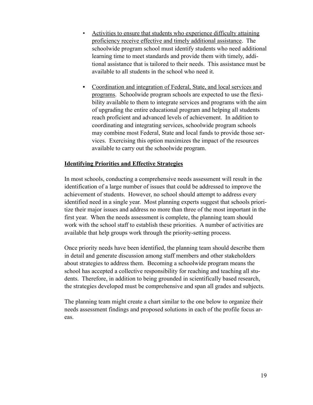- Activities to ensure that students who experience difficulty attaining proficiency receive effective and timely additional assistance. The schoolwide program school must identify students who need additional learning time to meet standards and provide them with timely, additional assistance that is tailored to their needs. This assistance must be available to all students in the school who need it.
- **•** Coordination and integration of Federal, State, and local services and programs. Schoolwide program schools are expected to use the flexibility available to them to integrate services and programs with the aim of upgrading the entire educational program and helping all students reach proficient and advanced levels of achievement. In addition to coordinating and integrating services, schoolwide program schools may combine most Federal, State and local funds to provide those services. Exercising this option maximizes the impact of the resources available to carry out the schoolwide program.

#### **Identifying Priorities and Effective Strategies**

In most schools, conducting a comprehensive needs assessment will result in the identification of a large number of issues that could be addressed to improve the achievement of students. However, no school should attempt to address every identified need in a single year. Most planning experts suggest that schools prioritize their major issues and address no more than three of the most important in the first year. When the needs assessment is complete, the planning team should work with the school staff to establish these priorities. A number of activities are available that help groups work through the priority-setting process.

Once priority needs have been identified, the planning team should describe them in detail and generate discussion among staff members and other stakeholders about strategies to address them. Becoming a schoolwide program means the school has accepted a collective responsibility for reaching and teaching all students. Therefore, in addition to being grounded in scientifically based research, the strategies developed must be comprehensive and span all grades and subjects.

The planning team might create a chart similar to the one below to organize their needs assessment findings and proposed solutions in each of the profile focus areas.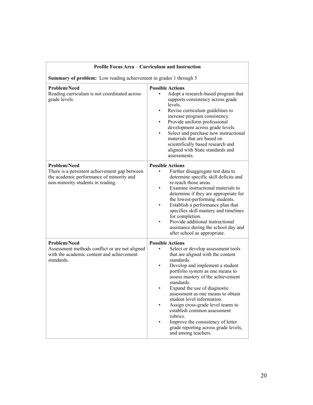| Profile Focus Area - Curriculum and Instruction                                                                                                       |                                                                                                                                                                                                                                                                                                                                                                                                                                                                                                                                   |  |
|-------------------------------------------------------------------------------------------------------------------------------------------------------|-----------------------------------------------------------------------------------------------------------------------------------------------------------------------------------------------------------------------------------------------------------------------------------------------------------------------------------------------------------------------------------------------------------------------------------------------------------------------------------------------------------------------------------|--|
| Summary of problem: Low reading achievement in grades 1 through 5                                                                                     |                                                                                                                                                                                                                                                                                                                                                                                                                                                                                                                                   |  |
| <b>Problem/Need</b><br>Reading curriculum is not coordinated across<br>grade levels.                                                                  | <b>Possible Actions</b><br>Adopt a research-based program that<br>supports consistency across grade<br>levels.<br>Revise curriculum guidelines to<br>$\bullet$<br>increase program consistency.<br>Provide uniform professional<br>development across grade levels.<br>Select and purchase new instructional<br>materials that are based on<br>scientifically based research and<br>aligned with State standards and<br>assessments.                                                                                              |  |
| <b>Problem/Need</b><br>There is a persistent achievement gap between<br>the academic performance of minority and<br>non-minority students in reading. | <b>Possible Actions</b><br>Further disaggregate test data to<br>determine specific skill deficits and<br>re-teach those areas.<br>Examine instructional materials to<br>determine if they are appropriate for<br>the lowest-performing students.<br>Establish a performance plan that<br>specifies skill mastery and timelines<br>for completion.<br>Provide additional instructional<br>assistance during the school day and<br>after school as appropriate.                                                                     |  |
| <b>Problem/Need</b><br>Assessment methods conflict or are not aligned<br>with the academic content and achievement<br>standards.                      | <b>Possible Actions</b><br>Select or develop assessment tools<br>that are aligned with the content<br>standards.<br>Develop and implement a student<br>portfolio system as one means to<br>assess mastery of the achievement<br>standards.<br>Expand the use of diagnostic<br>assessment as one means to obtain<br>student level information.<br>Assign cross-grade level teams to<br>establish common assessment<br>rubrics.<br>Improve the consistency of letter<br>grade reporting across grade levels,<br>and among teachers. |  |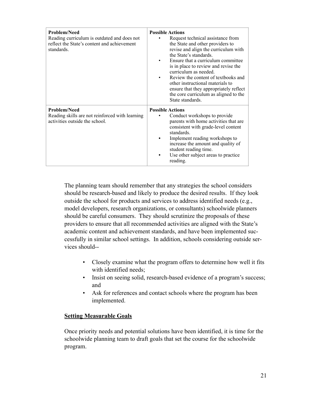| <b>Problem/Need</b><br>Reading curriculum is outdated and does not<br>reflect the State's content and achievement<br>standards. | <b>Possible Actions</b><br>Request technical assistance from<br>the State and other providers to<br>revise and align the curriculum with<br>the State's standards.<br>Ensure that a curriculum committee<br>is in place to review and revise the<br>curriculum as needed.<br>Review the content of textbooks and<br>other instructional materials to<br>ensure that they appropriately reflect<br>the core curriculum as aligned to the<br>State standards. |
|---------------------------------------------------------------------------------------------------------------------------------|-------------------------------------------------------------------------------------------------------------------------------------------------------------------------------------------------------------------------------------------------------------------------------------------------------------------------------------------------------------------------------------------------------------------------------------------------------------|
| <b>Problem/Need</b><br>Reading skills are not reinforced with learning<br>activities outside the school.                        | <b>Possible Actions</b><br>Conduct workshops to provide<br>parents with home activities that are<br>consistent with grade-level content<br>standards.<br>Implement reading workshops to<br>increase the amount and quality of<br>student reading time.<br>Use other subject areas to practice<br>reading.                                                                                                                                                   |

The planning team should remember that any strategies the school considers should be research-based and likely to produce the desired results. If they look outside the school for products and services to address identified needs (e.g., model developers, research organizations, or consultants) schoolwide planners should be careful consumers. They should scrutinize the proposals of these providers to ensure that all recommended activities are aligned with the State's academic content and achievement standards, and have been implemented successfully in similar school settings. In addition, schools considering outside services should--

- Closely examine what the program offers to determine how well it fits with identified needs;
- Insist on seeing solid, research-based evidence of a program's success; and
- Ask for references and contact schools where the program has been implemented.

#### **Setting Measurable Goals**

Once priority needs and potential solutions have been identified, it is time for the schoolwide planning team to draft goals that set the course for the schoolwide program.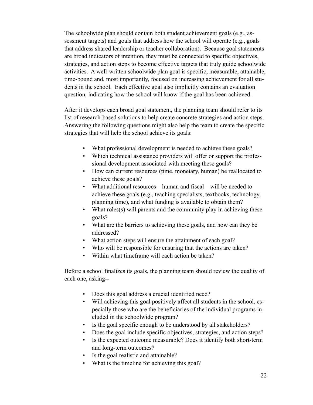The schoolwide plan should contain both student achievement goals (e.g., assessment targets) and goals that address how the school will operate (e.g., goals that address shared leadership or teacher collaboration). Because goal statements are broad indicators of intention, they must be connected to specific objectives, strategies, and action steps to become effective targets that truly guide schoolwide activities. A well-written schoolwide plan goal is specific, measurable, attainable, time-bound and, most importantly, focused on increasing achievement for all students in the school. Each effective goal also implicitly contains an evaluation question, indicating how the school will know if the goal has been achieved.

After it develops each broad goal statement, the planning team should refer to its list of research-based solutions to help create concrete strategies and action steps. Answering the following questions might also help the team to create the specific strategies that will help the school achieve its goals:

- What professional development is needed to achieve these goals?
- Which technical assistance providers will offer or support the professional development associated with meeting these goals?
- How can current resources (time, monetary, human) be reallocated to achieve these goals?
- What additional resources—human and fiscal—will be needed to achieve these goals (e.g., teaching specialists, textbooks, technology, planning time), and what funding is available to obtain them?
- What roles(s) will parents and the community play in achieving these goals?
- What are the barriers to achieving these goals, and how can they be addressed?
- What action steps will ensure the attainment of each goal?
- Who will be responsible for ensuring that the actions are taken?
- Within what timeframe will each action be taken?

Before a school finalizes its goals, the planning team should review the quality of each one, asking--

- Does this goal address a crucial identified need?
- Will achieving this goal positively affect all students in the school, especially those who are the beneficiaries of the individual programs included in the schoolwide program?
- Is the goal specific enough to be understood by all stakeholders?
- Does the goal include specific objectives, strategies, and action steps?
- Is the expected outcome measurable? Does it identify both short-term and long-term outcomes?
- Is the goal realistic and attainable?
- What is the timeline for achieving this goal?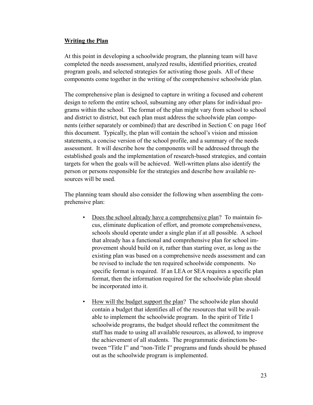#### **Writing the Plan**

At this point in developing a schoolwide program, the planning team will have completed the needs assessment, analyzed results, identified priorities, created program goals, and selected strategies for activating those goals. All of these components come together in the writing of the comprehensive schoolwide plan.

The comprehensive plan is designed to capture in writing a focused and coherent design to reform the entire school, subsuming any other plans for individual programs within the school. The format of the plan might vary from school to school and district to district, but each plan must address the schoolwide plan components (either separately or combined) that are described in Section C on page 16of this document. Typically, the plan will contain the school's vision and mission statements, a concise version of the school profile, and a summary of the needs assessment. It will describe how the components will be addressed through the established goals and the implementation of research-based strategies, and contain targets for when the goals will be achieved. Well-written plans also identify the person or persons responsible for the strategies and describe how available resources will be used.

The planning team should also consider the following when assembling the comprehensive plan:

- Does the school already have a comprehensive plan?To maintain focus, eliminate duplication of effort, and promote comprehensiveness, schools should operate under a single plan if at all possible. A school that already has a functional and comprehensive plan for school improvement should build on it, rather than starting over, as long as the existing plan was based on a comprehensive needs assessment and can be revised to include the ten required schoolwide components. No specific format is required. If an LEA or SEA requires a specific plan format, then the information required for the schoolwide plan should be incorporated into it.
- How will the budget support the plan? The schoolwide plan should contain a budget that identifies all of the resources that will be available to implement the schoolwide program. In the spirit of Title I schoolwide programs, the budget should reflect the commitment the staff has made to using all available resources, as allowed, to improve the achievement of all students. The programmatic distinctions between "Title I" and "non-Title I" programs and funds should be phased out as the schoolwide program is implemented.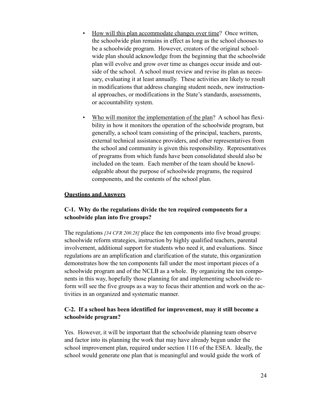- How will this plan accommodate changes over time?Once written, the schoolwide plan remains in effect as long as the school chooses to be a schoolwide program. However, creators of the original schoolwide plan should acknowledge from the beginning that the schoolwide plan will evolve and grow over time as changes occur inside and outside of the school. A school must review and revise its plan as necessary, evaluating it at least annually. These activities are likely to result in modifications that address changing student needs, new instructional approaches, or modifications in the State's standards, assessments, or accountability system.
- Who will monitor the implementation of the plan? A school has flexibility in how it monitors the operation of the schoolwide program, but generally, a school team consisting of the principal, teachers, parents, external technical assistance providers, and other representatives from the school and community is given this responsibility. Representatives of programs from which funds have been consolidated should also be included on the team. Each member of the team should be knowledgeable about the purpose of schoolwide programs, the required components, and the contents of the school plan.

#### **Questions and Answers**

## **C-1. Why do the regulations divide the ten required components for a schoolwide plan into five groups?**

The regulations *[34 CFR 200.28]* place the ten components into five broad groups: schoolwide reform strategies, instruction by highly qualified teachers, parental involvement, additional support for students who need it, and evaluations. Since regulations are an amplification and clarification of the statute, this organization demonstrates how the ten components fall under the most important pieces of a schoolwide program and of the NCLB as a whole. By organizing the ten components in this way, hopefully those planning for and implementing schoolwide reform will see the five groups as a way to focus their attention and work on the activities in an organized and systematic manner.

#### **C-2. If a school has been identified for improvement, may it still become a schoolwide program?**

Yes. However, it will be important that the schoolwide planning team observe and factor into its planning the work that may have already begun under the school improvement plan, required under section 1116 of the ESEA. Ideally, the school would generate one plan that is meaningful and would guide the work of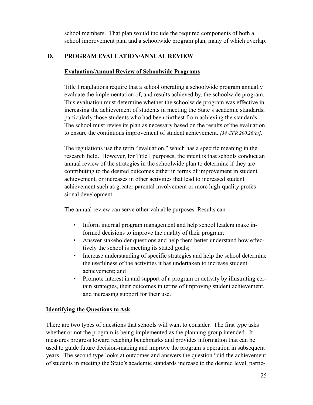school members. That plan would include the required components of both a school improvement plan and a schoolwide program plan, many of which overlap.

## **D. PROGRAM EVALUATION/ANNUAL REVIEW**

#### **Evaluation/Annual Review of Schoolwide Programs**

Title I regulations require that a school operating a schoolwide program annually evaluate the implementation of, and results achieved by, the schoolwide program. This evaluation must determine whether the schoolwide program was effective in increasing the achievement of students in meeting the State's academic standards, particularly those students who had been furthest from achieving the standards. The school must revise its plan as necessary based on the results of the evaluation to ensure the continuous improvement of student achievement. *[34 CFR 200.26(c)]*.

The regulations use the term "evaluation," which has a specific meaning in the research field. However, for Title I purposes, the intent is that schools conduct an annual review of the strategies in the schoolwide plan to determine if they are contributing to the desired outcomes either in terms of improvement in student achievement, or increases in other activities that lead to increased student achievement such as greater parental involvement or more high-quality professional development.

The annual review can serve other valuable purposes. Results can--

- Inform internal program management and help school leaders make informed decisions to improve the quality of their program;
- Answer stakeholder questions and help them better understand how effectively the school is meeting its stated goals;
- Increase understanding of specific strategies and help the school determine the usefulness of the activities it has undertaken to increase student achievement; and
- Promote interest in and support of a program or activity by illustrating certain strategies, their outcomes in terms of improving student achievement, and increasing support for their use.

#### **Identifying the Questions to Ask**

There are two types of questions that schools will want to consider. The first type asks whether or not the program is being implemented as the planning group intended. It measures progress toward reaching benchmarks and provides information that can be used to guide future decision-making and improve the program's operation in subsequent years. The second type looks at outcomes and answers the question "did the achievement of students in meeting the State's academic standards increase to the desired level, partic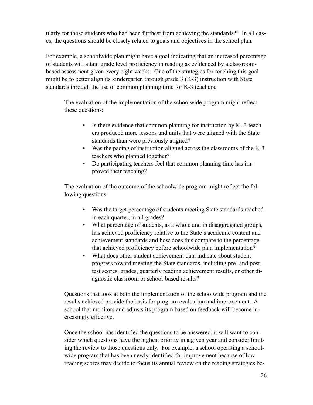ularly for those students who had been furthest from achieving the standards?" In all cases, the questions should be closely related to goals and objectives in the school plan.

For example, a schoolwide plan might have a goal indicating that an increased percentage of students will attain grade level proficiency in reading as evidenced by a classroombased assessment given every eight weeks. One of the strategies for reaching this goal might be to better align its kindergarten through grade 3 (K-3) instruction with State standards through the use of common planning time for K-3 teachers.

The evaluation of the implementation of the schoolwide program might reflect these questions:

- Is there evidence that common planning for instruction by  $K-3$  teachers produced more lessons and units that were aligned with the State standards than were previously aligned?
- Was the pacing of instruction aligned across the classrooms of the K-3 teachers who planned together?
- Do participating teachers feel that common planning time has improved their teaching?

The evaluation of the outcome of the schoolwide program might reflect the following questions:

- Was the target percentage of students meeting State standards reached in each quarter, in all grades?
- What percentage of students, as a whole and in disaggregated groups, has achieved proficiency relative to the State's academic content and achievement standards and how does this compare to the percentage that achieved proficiency before schoolwide plan implementation?
- What does other student achievement data indicate about student progress toward meeting the State standards, including pre- and posttest scores, grades, quarterly reading achievement results, or other diagnostic classroom or school-based results?

Questions that look at both the implementation of the schoolwide program and the results achieved provide the basis for program evaluation and improvement. A school that monitors and adjusts its program based on feedback will become increasingly effective.

Once the school has identified the questions to be answered, it will want to consider which questions have the highest priority in a given year and consider limiting the review to those questions only. For example, a school operating a schoolwide program that has been newly identified for improvement because of low reading scores may decide to focus its annual review on the reading strategies be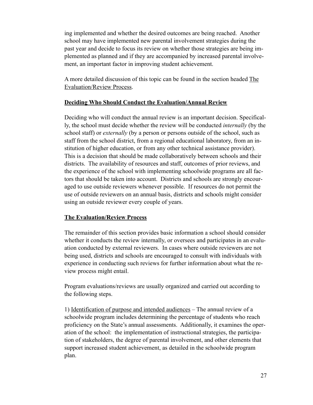ing implemented and whether the desired outcomes are being reached. Another school may have implemented new parental involvement strategies during the past year and decide to focus its review on whether those strategies are being implemented as planned and if they are accompanied by increased parental involvement, an important factor in improving student achievement.

A more detailed discussion of this topic can be found in the section headed The Evaluation/Review Process.

#### **Deciding Who Should Conduct the Evaluation/Annual Review**

Deciding who will conduct the annual review is an important decision. Specifically, the school must decide whether the review will be conducted *internally* (by the school staff) or *externally* (by a person or persons outside of the school, such as staff from the school district, from a regional educational laboratory, from an institution of higher education, or from any other technical assistance provider). This is a decision that should be made collaboratively between schools and their districts. The availability of resources and staff, outcomes of prior reviews, and the experience of the school with implementing schoolwide programs are all factors that should be taken into account. Districts and schools are strongly encouraged to use outside reviewers whenever possible. If resources do not permit the use of outside reviewers on an annual basis, districts and schools might consider using an outside reviewer every couple of years.

#### **The Evaluation/Review Process**

The remainder of this section provides basic information a school should consider whether it conducts the review internally, or oversees and participates in an evaluation conducted by external reviewers. In cases where outside reviewers are not being used, districts and schools are encouraged to consult with individuals with experience in conducting such reviews for further information about what the review process might entail.

Program evaluations/reviews are usually organized and carried out according to the following steps.

1) Identification of purpose and intended audiences *–* The annual review of a schoolwide program includes determining the percentage of students who reach proficiency on the State's annual assessments. Additionally, it examines the operation of the school: the implementation of instructional strategies, the participation of stakeholders, the degree of parental involvement, and other elements that support increased student achievement, as detailed in the schoolwide program plan.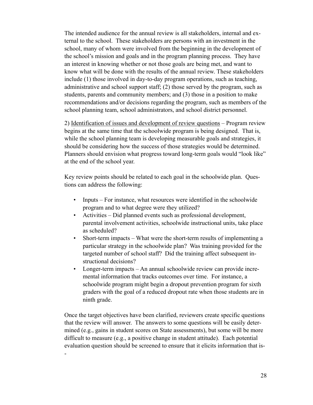The intended audience for the annual review is all stakeholders, internal and external to the school. These stakeholders are persons with an investment in the school, many of whom were involved from the beginning in the development of the school's mission and goals and in the program planning process. They have an interest in knowing whether or not those goals are being met, and want to know what will be done with the results of the annual review. These stakeholders include (1) those involved in day-to-day program operations, such as teaching, administrative and school support staff; (2) those served by the program, such as students, parents and community members; and (3) those in a position to make recommendations and/or decisions regarding the program, such as members of the school planning team, school administrators, and school district personnel.

2) Identification of issues and development of review questions *–* Program review begins at the same time that the schoolwide program is being designed. That is, while the school planning team is developing measurable goals and strategies, it should be considering how the success of those strategies would be determined. Planners should envision what progress toward long-term goals would "look like" at the end of the school year.

Key review points should be related to each goal in the schoolwide plan. Questions can address the following:

- Inputs For instance, what resources were identified in the schoolwide program and to what degree were they utilized?
- Activities Did planned events such as professional development, parental involvement activities, schoolwide instructional units, take place as scheduled?
- Short-term impacts What were the short-term results of implementing a particular strategy in the schoolwide plan? Was training provided for the targeted number of school staff? Did the training affect subsequent instructional decisions?
- Longer-term impacts An annual schoolwide review can provide incremental information that tracks outcomes over time. For instance, a schoolwide program might begin a dropout prevention program for sixth graders with the goal of a reduced dropout rate when those students are in ninth grade.

Once the target objectives have been clarified, reviewers create specific questions that the review will answer. The answers to some questions will be easily determined (e.g., gains in student scores on State assessments), but some will be more difficult to measure (e.g., a positive change in student attitude). Each potential evaluation question should be screened to ensure that it elicits information that is-

-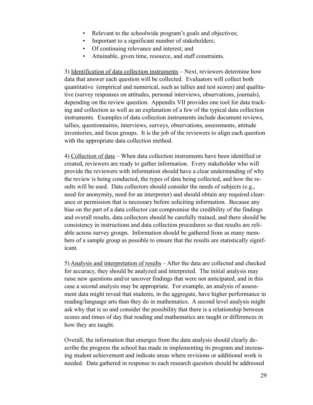- Relevant to the schoolwide program's goals and objectives;
- Important to a significant number of stakeholders;
- Of continuing relevance and interest; and
- Attainable, given time, resource, and staff constraints.

3) Identification of data collection instruments *–* Next, reviewers determine how data that answer each question will be collected. Evaluators will collect both quantitative (empirical and numerical, such as tallies and test scores) and qualitative (survey responses on attitudes, personal interviews, observations, journals), depending on the review question. Appendix VII provides one tool for data tracking and collection as well as an explanation of a few of the typical data collection instruments. Examples of data collection instruments include document reviews, tallies, questionnaires, interviews, surveys, observations, assessments, attitude inventories, and focus groups. It is the job of the reviewers to align each question with the appropriate data collection method.

4) Collection of data *–* When data collection instruments have been identified or created, reviewers are ready to gather information. Every stakeholder who will provide the reviewers with information should have a clear understanding of why the review is being conducted, the types of data being collected, and how the results will be used. Data collectors should consider the needs of subjects (e.g., need for anonymity, need for an interpreter) and should obtain any required clearance or permission that is necessary before soliciting information. Because any bias on the part of a data collector can compromise the credibility of the findings and overall results, data collectors should be carefully trained, and there should be consistency in instructions and data collection procedures so that results are reliable across survey groups. Information should be gathered from as many members of a sample group as possible to ensure that the results are statistically significant.

5) Analysis and interpretation of results *–* After the data are collected and checked for accuracy, they should be analyzed and interpreted. The initial analysis may raise new questions and/or uncover findings that were not anticipated, and in this case a second analysis may be appropriate. For example, an analysis of assessment data might reveal that students, in the aggregate, have higher performance in reading/language arts than they do in mathematics. A second level analysis might ask why that is so and consider the possibility that there is a relationship between scores and times of day that reading and mathematics are taught or differences in how they are taught.

Overall, the information that emerges from the data analysis should clearly describe the progress the school has made in implementing its program and increasing student achievement and indicate areas where revisions or additional work is needed.Data gathered in response to each research question should be addressed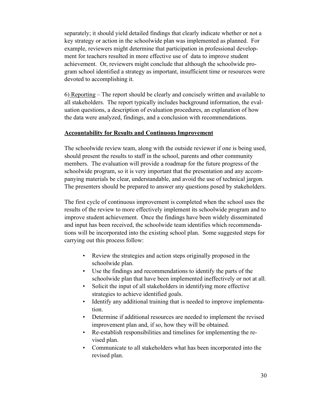separately; it should yield detailed findings that clearly indicate whether or not a key strategy or action in the schoolwide plan was implemented as planned. For example, reviewers might determine that participation in professional development for teachers resulted in more effective use of data to improve student achievement. Or, reviewers might conclude that although the schoolwide program school identified a strategy as important, insufficient time or resources were devoted to accomplishing it.

6) Reporting *–* The report should be clearly and concisely written and available to all stakeholders. The report typically includes background information, the evaluation questions, a description of evaluation procedures, an explanation of how the data were analyzed, findings, and a conclusion with recommendations.

#### **Accountability for Results and Continuous Improvement**

The schoolwide review team, along with the outside reviewer if one is being used, should present the results to staff in the school, parents and other community members. The evaluation will provide a roadmap for the future progress of the schoolwide program, so it is very important that the presentation and any accompanying materials be clear, understandable, and avoid the use of technical jargon. The presenters should be prepared to answer any questions posed by stakeholders.

The first cycle of continuous improvement is completed when the school uses the results of the review to more effectively implement its schoolwide program and to improve student achievement. Once the findings have been widely disseminated and input has been received, the schoolwide team identifies which recommendations will be incorporated into the existing school plan. Some suggested steps for carrying out this process follow:

- Review the strategies and action steps originally proposed in the schoolwide plan.
- Use the findings and recommendations to identify the parts of the schoolwide plan that have been implemented ineffectively or not at all.
- Solicit the input of all stakeholders in identifying more effective strategies to achieve identified goals.
- Identify any additional training that is needed to improve implementation.
- Determine if additional resources are needed to implement the revised improvement plan and, if so, how they will be obtained.
- Re-establish responsibilities and timelines for implementing the revised plan.
- Communicate to all stakeholders what has been incorporated into the revised plan.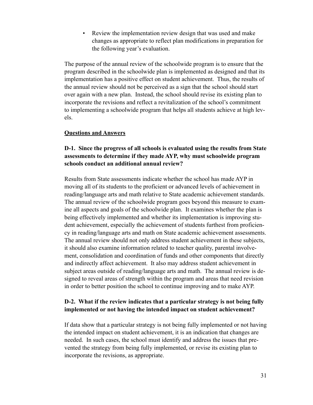Review the implementation review design that was used and make changes as appropriate to reflect plan modifications in preparation for the following year's evaluation.

The purpose of the annual review of the schoolwide program is to ensure that the program described in the schoolwide plan is implemented as designed and that its implementation has a positive effect on student achievement. Thus, the results of the annual review should not be perceived as a sign that the school should start over again with a new plan. Instead, the school should revise its existing plan to incorporate the revisions and reflect a revitalization of the school's commitment to implementing a schoolwide program that helps all students achieve at high levels.

#### **Questions and Answers**

## **D-1. Since the progress of all schools is evaluated using the results from State assessments to determine if they made AYP, why must schoolwide program schools conduct an additional annual review?**

Results from State assessments indicate whether the school has made AYP in moving all of its students to the proficient or advanced levels of achievement in reading/language arts and math relative to State academic achievement standards. The annual review of the schoolwide program goes beyond this measure to examine all aspects and goals of the schoolwide plan. It examines whether the plan is being effectively implemented and whether its implementation is improving student achievement, especially the achievement of students furthest from proficiency in reading/language arts and math on State academic achievement assessments. The annual review should not only address student achievement in these subjects, it should also examine information related to teacher quality, parental involvement, consolidation and coordination of funds and other components that directly and indirectly affect achievement. It also may address student achievement in subject areas outside of reading/language arts and math. The annual review is designed to reveal areas of strength within the program and areas that need revision in order to better position the school to continue improving and to make AYP.

#### **D-2. What if the review indicates that a particular strategy is not being fully implemented or not having the intended impact on student achievement?**

If data show that a particular strategy is not being fully implemented or not having the intended impact on student achievement, it is an indication that changes are needed. In such cases, the school must identify and address the issues that prevented the strategy from being fully implemented, or revise its existing plan to incorporate the revisions, as appropriate.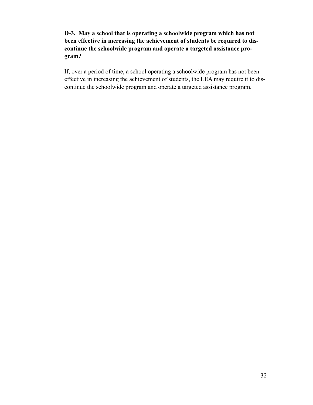## **D-3. May a school that is operating a schoolwide program which has not been effective in increasing the achievement of students be required to discontinue the schoolwide program and operate a targeted assistance program?**

If, over a period of time, a school operating a schoolwide program has not been effective in increasing the achievement of students, the LEA may require it to discontinue the schoolwide program and operate a targeted assistance program.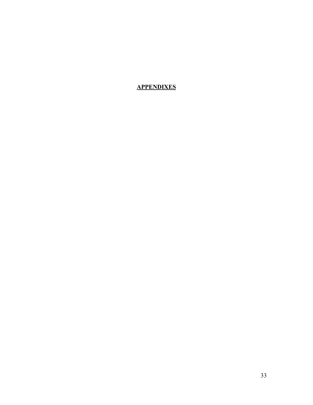## **APPENDIXES**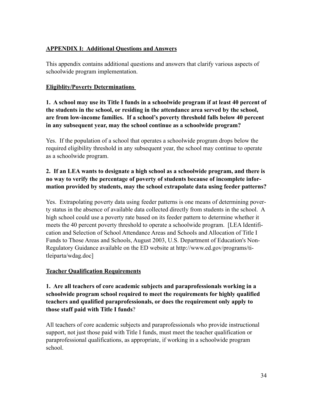## **APPENDIX I: Additional Questions and Answers**

This appendix contains additional questions and answers that clarify various aspects of schoolwide program implementation.

## **Eligiblity/Poverty Determinations**

**1. A school may use its Title I funds in a schoolwide program if at least 40 percent of the students in the school, or residing in the attendance area served by the school, are from low-income families. If a school's poverty threshold falls below 40 percent in any subsequent year, may the school continue as a schoolwide program?** 

Yes. If the population of a school that operates a schoolwide program drops below the required eligibility threshold in any subsequent year, the school may continue to operate as a schoolwide program.

## **2. If an LEA wants to designate a high school as a schoolwide program, and there is no way to verify the percentage of poverty of students because of incomplete information provided by students, may the school extrapolate data using feeder patterns?**

Yes. Extrapolating poverty data using feeder patterns is one means of determining poverty status in the absence of available data collected directly from students in the school. A high school could use a poverty rate based on its feeder pattern to determine whether it meets the 40 percent poverty threshold to operate a schoolwide program. [LEA Identification and Selection of School Attendance Areas and Schools and Allocation of Title I Funds to Those Areas and Schools, August 2003, U.S. Department of Education's Non-Regulatory Guidance available on the ED website at http://www.ed.gov/programs/titleiparta/wdag.doc]

## **Teacher Qualification Requirements**

**1. Are all teachers of core academic subjects and paraprofessionals working in a schoolwide program school required to meet the requirements for highly qualified teachers and qualified paraprofessionals, or does the requirement only apply to those staff paid with Title I funds**?

All teachers of core academic subjects and paraprofessionals who provide instructional support, not just those paid with Title I funds, must meet the teacher qualification or paraprofessional qualifications, as appropriate, if working in a schoolwide program school.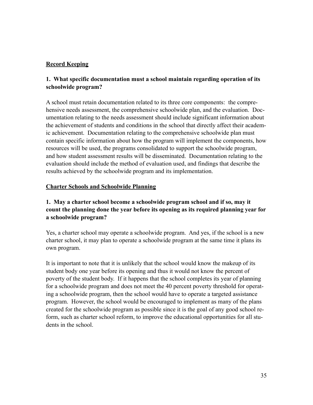## **Record Keeping**

## **1. What specific documentation must a school maintain regarding operation of its schoolwide program?**

A school must retain documentation related to its three core components: the comprehensive needs assessment, the comprehensive schoolwide plan, and the evaluation. Documentation relating to the needs assessment should include significant information about the achievement of students and conditions in the school that directly affect their academic achievement. Documentation relating to the comprehensive schoolwide plan must contain specific information about how the program will implement the components, how resources will be used, the programs consolidated to support the schoolwide program, and how student assessment results will be disseminated. Documentation relating to the evaluation should include the method of evaluation used, and findings that describe the results achieved by the schoolwide program and its implementation.

#### **Charter Schools and Schoolwide Planning**

## **1. May a charter school become a schoolwide program school and if so, may it count the planning done the year before its opening as its required planning year for a schoolwide program?**

Yes, a charter school may operate a schoolwide program. And yes, if the school is a new charter school, it may plan to operate a schoolwide program at the same time it plans its own program.

It is important to note that it is unlikely that the school would know the makeup of its student body one year before its opening and thus it would not know the percent of poverty of the student body. If it happens that the school completes its year of planning for a schoolwide program and does not meet the 40 percent poverty threshold for operating a schoolwide program, then the school would have to operate a targeted assistance program. However, the school would be encouraged to implement as many of the plans created for the schoolwide program as possible since it is the goal of any good school reform, such as charter school reform, to improve the educational opportunities for all students in the school.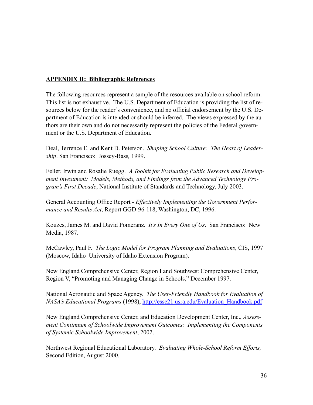#### **APPENDIX II: Bibliographic References**

The following resources represent a sample of the resources available on school reform. This list is not exhaustive. The U.S. Department of Education is providing the list of resources below for the reader's convenience, and no official endorsement by the U.S. Department of Education is intended or should be inferred. The views expressed by the authors are their own and do not necessarily represent the policies of the Federal government or the U.S. Department of Education.

Deal, Terrence E. and Kent D. Peterson. *Shaping School Culture: The Heart of Leadership*. San Francisco: Jossey-Bass*,* 1999.

Feller, Irwin and Rosalie Ruegg. *A Toolkit for Evaluating Public Research and Development Investment: Models, Methods, and Findings from the Advanced Technology Program's First Decade*, National Institute of Standards and Technology, July 2003.

General Accounting Office Report - *Effectively Implementing the Government Performance and Results Act*, Report GGD-96-118, Washington, DC, 1996.

Kouzes, James M. and David Pomeranz. *It's In Every One of Us*. San Francisco: New Media, 1987.

McCawley, Paul F. *The Logic Model for Program Planning and Evaluations*, CIS, 1997 (Moscow, Idaho University of Idaho Extension Program).

New England Comprehensive Center, Region I and Southwest Comprehensive Center, Region V, "Promoting and Managing Change in Schools," December 1997.

National Aeronautic and Space Agency. *The User-Friendly Handbook for Evaluation of NASA's Educational Programs* (1998), [http://esse21.usra.edu/Evaluation\\_Handbook.pdf](http://esse21.usra.edu/evaluation_handbook.pdf)

New England Comprehensive Center, and Education Development Center, Inc., *Assessment Continuum of Schoolwide Improvement Outcomes: Implementing the Components of Systemic Schoolwide Improvement*, 2002.

Northwest Regional Educational Laboratory. *Evaluating Whole-School Reform Efforts,* Second Edition, August 2000.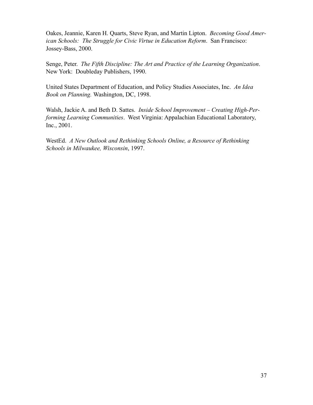Oakes, Jeannie, Karen H. Quarts, Steve Ryan, and Martin Lipton. *Becoming Good American Schools: The Struggle for Civic Virtue in Education Reform*. San Francisco: Jossey-Bass, 2000.

Senge, Peter. *The Fifth Discipline: The Art and Practice of the Learning Organization*. New York: Doubleday Publishers, 1990.

United States Department of Education, and Policy Studies Associates, Inc. *An Idea Book on Planning.* Washington, DC, 1998.

Walsh, Jackie A. and Beth D. Sattes. *Inside School Improvement – Creating High-Performing Learning Communities*. West Virginia: Appalachian Educational Laboratory, Inc., 2001.

WestEd. *A New Outlook and Rethinking Schools Online, a Resource of Rethinking Schools in Milwaukee, Wisconsin*, 1997.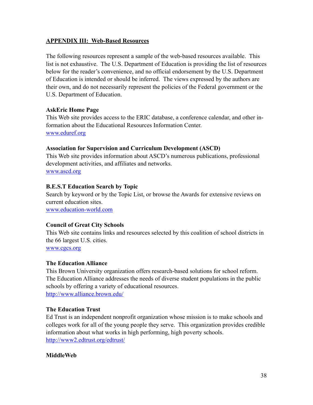#### **APPENDIX III: Web-Based Resources**

The following resources represent a sample of the web-based resources available. This list is not exhaustive. The U.S. Department of Education is providing the list of resources below for the reader's convenience, and no official endorsement by the U.S. Department of Education is intended or should be inferred. The views expressed by the authors are their own, and do not necessarily represent the policies of the Federal government or the U.S. Department of Education.

#### **AskEric Home Page**

This Web site provides access to the ERIC database, a conference calendar, and other information about the Educational Resources Information Center. [www.eduref.org](http://www.eduref.org)

#### **Association for Supervision and Curriculum Development (ASCD)**

This Web site provides information about ASCD's numerous publications, professional development activities, and affiliates and networks.

[www.ascd.org](http://www.ascd.org)

#### **B.E.S.T Education Search by Topic**

Search by keyword or by the Topic List, or browse the Awards for extensive reviews on current education sites.

[www.education-world.com](http://www.education-world.com) 

#### **Council of Great City Schools**

This Web site contains links and resources selected by this coalition of school districts in the 66 largest U.S. cities.

[www.cgcs.org](http://www.cgcs.org)

#### **The Education Alliance**

This Brown University organization offers research-based solutions for school reform. The Education Alliance addresses the needs of diverse student populations in the public schools by offering a variety of educational resources. <http://www.alliance.brown.edu/>

#### **The Education Trust**

Ed Trust is an independent nonprofit organization whose mission is to make schools and colleges work for all of the young people they serve. This organization provides credible information about what works in high performing, high poverty schools. <http://www2.edtrust.org/edtrust/>

#### **MiddleWeb**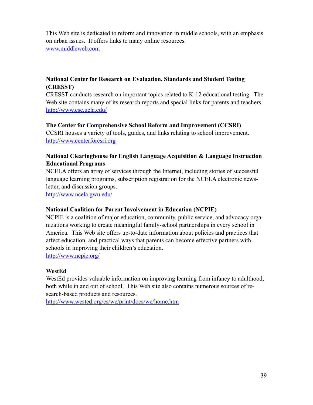This Web site is dedicated to reform and innovation in middle schools, with an emphasis on urban issues. It offers links to many online resources. [www.middleweb.com](http://www.middleweb.com)

## **National Center for Research on Evaluation, Standards and Student Testing (CRESST)**

CRESST conducts research on important topics related to K-12 educational testing. The Web site contains many of its research reports and special links for parents and teachers. <http://www.cse.ucla.edu/>

#### **The Center for Comprehensive School Reform and Improvement (CCSRI)**

CCSRI houses a variety of tools, guides, and links relating to school improvement. <http://www.centerforcsri.org>

#### **National Clearinghouse for English Language Acquisition & Language Instruction Educational Programs**

NCELA offers an array of services through the Internet, including stories of successful language learning programs, subscription registration for the NCELA electronic newsletter, and discussion groups.

<http://www.ncela.gwu.edu/>

#### **National Coalition for Parent Involvement in Education (NCPIE)**

NCPIE is a coalition of major education, community, public service, and advocacy organizations working to create meaningful family-school partnerships in every school in America. This Web site offers up-to-date information about policies and practices that affect education, and practical ways that parents can become effective partners with schools in improving their children's education.

<http://www.ncpie.org/>

#### **WestEd**

WestEd provides valuable information on improving learning from infancy to adulthood, both while in and out of school. This Web site also contains numerous sources of research-based products and resources.

<http://www.wested.org/cs/we/print/docs/we/home.htm>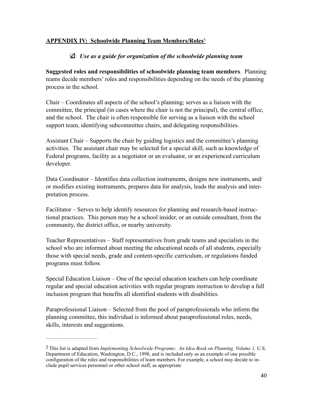## **APPENDIX IV: Schoolwide Planning Team Members/Roles**<sup>5</sup>

## *Use as a guide for organization of the schoolwide planning team*

**Suggested roles and responsibilities of schoolwide planning team members**. Planning teams decide members' roles and responsibilities depending on the needs of the planning process in the school.

Chair – Coordinates all aspects of the school's planning; serves as a liaison with the committee, the principal (in cases where the chair is not the principal), the central office, and the school. The chair is often responsible for serving as a liaison with the school support team, identifying subcommittee chairs, and delegating responsibilities.

Assistant Chair – Supports the chair by guiding logistics and the committee's planning activities. The assistant chair may be selected for a special skill, such as knowledge of Federal programs, facility as a negotiator or an evaluator, or an experienced curriculum developer.

Data Coordinator – Identifies data collection instruments, designs new instruments, and/ or modifies existing instruments, prepares data for analysis, leads the analysis and interpretation process.

Facilitator – Serves to help identify resources for planning and research-based instructional practices. This person may be a school insider, or an outside consultant, from the community, the district office, or nearby university.

Teacher Representatives – Staff representatives from grade teams and specialists in the school who are informed about meeting the educational needs of all students, especially those with special needs, grade and content-specific curriculum, or regulations funded programs must follow.

Special Education Liaison – One of the special education teachers can help coordinate regular and special education activities with regular program instruction to develop a full inclusion program that benefits all identified students with disabilities.

Paraprofessional Liaison – Selected from the pool of paraprofessionals who inform the planning committee, this individual is informed about paraprofessional roles, needs, skills, interests and suggestions.

 $^5$  This list is adapted from *Implementing Schoolwide Programs: An Idea Book on Planning, Volume 1, U.S.* Department of Education, Washington, D.C., 1998, and is included only as an example of one possible configuration of the roles and responsibilities of team members. For example, a school may decide to include pupil services personnel or other school staff, as appropriate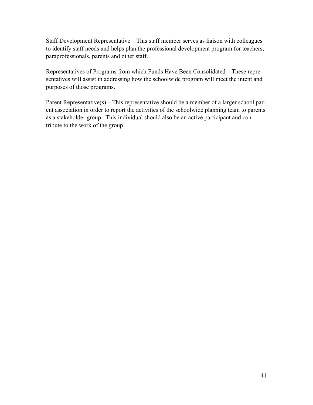Staff Development Representative – This staff member serves as liaison with colleagues to identify staff needs and helps plan the professional development program for teachers, paraprofessionals, parents and other staff.

Representatives of Programs from which Funds Have Been Consolidated – These representatives will assist in addressing how the schoolwide program will meet the intent and purposes of those programs.

Parent Representative(s) – This representative should be a member of a larger school parent association in order to report the activities of the schoolwide planning team to parents as a stakeholder group. This individual should also be an active participant and contribute to the work of the group.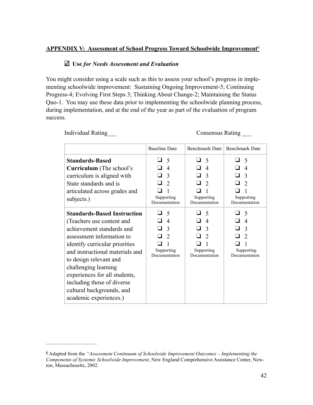## **APPENDIX V: Assessment of School Progress Toward Schoolwide Improvement**<sup>6</sup>

#### **Use** *for Needs Assessment and Evaluation*

You might consider using a scale such as this to assess your school's progress in implementing schoolwide improvement: Sustaining Ongoing Improvement-5; Continuing Progress-4; Evolving First Steps 3; Thinking About Change-2; Maintaining the Status Quo-1. You may use these data prior to implementing the schoolwide planning process, during implementation, and at the end of the year as part of the evaluation of program success.

Individual Rating \_\_\_ Consensus Rating \_\_\_

|                                                                                                                                                                                                                                                                                                                                                                        | <b>Baseline Date</b>                                                                         | <b>Benchmark Date</b>                                                                      | <b>Benchmark Date</b>                                                                          |
|------------------------------------------------------------------------------------------------------------------------------------------------------------------------------------------------------------------------------------------------------------------------------------------------------------------------------------------------------------------------|----------------------------------------------------------------------------------------------|--------------------------------------------------------------------------------------------|------------------------------------------------------------------------------------------------|
| <b>Standards-Based</b><br><b>Curriculum</b> (The school's<br>curriculum is aligned with<br>State standards and is<br>articulated across grades and<br>subjects.)                                                                                                                                                                                                       | 5<br>- 1<br>$\overline{4}$<br>$\mathcal{E}$<br>$\overline{2}$<br>Supporting<br>Documentation | $\blacksquare$<br>5<br>$\overline{4}$<br>3<br>$\mathcal{D}$<br>Supporting<br>Documentation | 5<br>- 1<br>n<br>$\overline{\mathcal{A}}$<br>3<br>$\mathcal{D}$<br>Supporting<br>Documentation |
| <b>Standards-Based Instruction</b><br>(Teachers use content and<br>achievement standards and<br>assessment information to<br>identify curricular priorities<br>and instructional materials and<br>to design relevant and<br>challenging learning<br>experiences for all students,<br>including those of diverse<br>cultural backgrounds, and<br>academic experiences.) | 5<br>$\overline{4}$<br>$\mathcal{R}$<br>$\mathcal{D}$<br>Supporting<br>Documentation         | $\overline{\mathcal{L}}$<br>$\overline{4}$<br>$\mathcal{R}$<br>Supporting<br>Documentation | 5<br>$\overline{4}$<br>3<br>$\mathfrak{D}$<br>Supporting<br>Documentation                      |

Adapted from the *"Assessment Continuum of Schoolwide Improvement Outcomes – Implementing the* <sup>6</sup> *Components of Systemic Schoolwide Improvement*, New England Comprehensive Assistance Center, Newton, Massachusetts, 2002.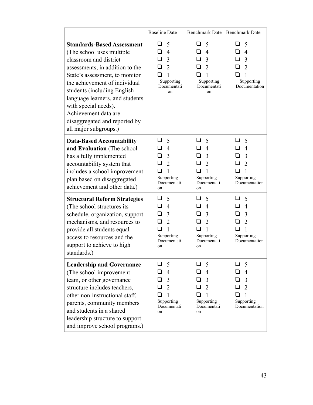|                                                                                                                                                                                                                                                                                                                                                                             | <b>Baseline Date</b>                                                                 | <b>Benchmark Date</b>                                                                                          | <b>Benchmark Date</b>                                                                                                     |
|-----------------------------------------------------------------------------------------------------------------------------------------------------------------------------------------------------------------------------------------------------------------------------------------------------------------------------------------------------------------------------|--------------------------------------------------------------------------------------|----------------------------------------------------------------------------------------------------------------|---------------------------------------------------------------------------------------------------------------------------|
| <b>Standards-Based Assessment</b><br>(The school uses multiple)<br>classroom and district<br>assessments, in addition to the<br>State's assessment, to monitor<br>the achievement of individual<br>students (including English<br>language learners, and students<br>with special needs).<br>Achievement data are<br>disaggregated and reported by<br>all major subgroups.) | 5<br>$\overline{4}$<br>3<br>$\overline{2}$<br>1<br>Supporting<br>Documentati<br>on   | 5<br>$\overline{\phantom{a}}$<br>$\overline{4}$<br>3<br>$\overline{2}$<br>1<br>Supporting<br>Documentati<br>on | ப<br>5<br>$\overline{4}$<br>3<br>$\overline{2}$<br>1<br>Supporting<br>Documentation                                       |
| <b>Data-Based Accountability</b><br>and Evaluation (The school<br>has a fully implemented<br>accountability system that<br>includes a school improvement<br>plan based on disaggregated<br>achievement and other data.)                                                                                                                                                     | 5<br>$\overline{4}$<br>3<br>$\overline{2}$<br>1<br>Supporting<br>Documentati<br>on   | 5<br>$\overline{4}$<br>3<br>$\overline{2}$<br>1<br>Supporting<br>Documentati<br>on                             | $\sqcup$<br>5<br>$\overline{4}$<br>  I<br>$\overline{3}$<br>$\overline{2}$<br>$\mathbf{1}$<br>Supporting<br>Documentation |
| <b>Structural Reform Strategies</b><br>(The school structures its)<br>schedule, organization, support<br>mechanisms, and resources to<br>provide all students equal<br>access to resources and the<br>support to achieve to high<br>standards.)                                                                                                                             | 5<br>$\overline{4}$<br>3<br>$\overline{2}$<br>1<br>Supporting<br>Documentati<br>on   | 5<br>$\overline{4}$<br>3<br>$\overline{2}$<br>1<br>Supporting<br>Documentati<br>on                             | 5<br>$\overline{4}$<br>ப<br>3<br>ப<br>$\overline{2}$<br>$\sqcup$<br>$\mathbf{1}$<br>Supporting<br>Documentation           |
| <b>Leadership and Governance</b><br>(The school improvement<br>team, or other governance<br>structure includes teachers,<br>other non-instructional staff,<br>parents, community members<br>and students in a shared<br>leadership structure to support<br>and improve school programs.)                                                                                    | 5<br>$\overline{4}$<br>$\Box$ 3<br>$\overline{2}$<br>Supporting<br>Documentati<br>on | 5<br>$\overline{4}$<br>3<br>$\overline{2}$<br>Supporting<br>Documentati<br>on                                  | 5<br>$\overline{4}$<br>┚<br>$\overline{3}$<br>$\overline{2}$<br>Supporting<br>Documentation                               |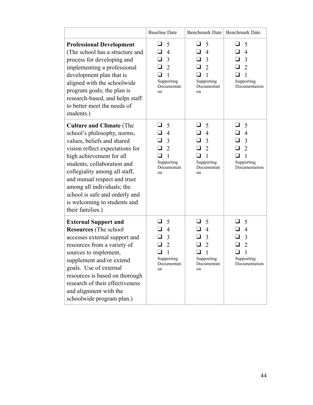|                                                                                                                                                                                                                                                                                                                                                                                 | <b>Baseline Date</b>                                                                               | <b>Benchmark Date</b>                                                                                                                 | <b>Benchmark Date</b>                                                                                                           |
|---------------------------------------------------------------------------------------------------------------------------------------------------------------------------------------------------------------------------------------------------------------------------------------------------------------------------------------------------------------------------------|----------------------------------------------------------------------------------------------------|---------------------------------------------------------------------------------------------------------------------------------------|---------------------------------------------------------------------------------------------------------------------------------|
| <b>Professional Development</b><br>(The school has a structure and<br>process for developing and<br>implementing a professional<br>development plan that is<br>aligned with the schoolwide<br>program goals; the plan is<br>research-based, and helps staff<br>to better meet the needs of<br>students.)                                                                        | 5<br>ப<br>$\overline{4}$<br>ப<br>3<br>ப<br>$\overline{2}$<br>1<br>Supporting<br>Documentati<br>on  | 5<br>ப<br>$\overline{4}$<br>ப<br>$\overline{3}$<br>ப<br>2<br>ப<br>1<br>Supporting<br>Documentati<br>on                                | ⊔.<br>5<br>$\overline{4}$<br>ப<br>$\overline{3}$<br>ப<br>$\overline{2}$<br>1<br>Supporting<br>Documentation                     |
| <b>Culture and Climate (The</b><br>school's philosophy, norms,<br>values, beliefs and shared<br>vision reflect expectations for<br>high achievement for all<br>students, collaboration and<br>collegiality among all staff,<br>and mutual respect and trust<br>among all individuals; the<br>school is safe and orderly and<br>is welcoming to students and<br>their families.) | 5<br>$\overline{4}$<br>3<br>$\overline{2}$<br>1<br>Supporting<br>Documentati<br>on                 | ப<br>5<br>ப<br>$\overline{4}$<br>ப<br>$\overline{3}$<br>$\overline{2}$<br>ப<br>$\mathbf{1}$<br>. .<br>Supporting<br>Documentati<br>on | ப<br>5<br>$\overline{4}$<br>ப<br>$\overline{3}$<br>ப<br>$\overline{2}$<br>ப<br>$\mathbf{1}$<br>□<br>Supporting<br>Documentation |
| <b>External Support and</b><br><b>Resources</b> (The school<br>accesses external support and<br>resources from a variety of<br>sources to implement,<br>supplement and/or extend<br>goals. Use of external<br>resources is based on thorough<br>research of their effectiveness<br>and alignment with the<br>schoolwide program plan.)                                          | 5<br>$\overline{4}$<br>3<br>$\overline{2}$<br>$\mathbf{1}$<br>⊔<br>Supporting<br>Documentati<br>on | ⊔<br>5<br>$\overline{4}$<br>ப<br>$\overline{3}$<br>$\overline{2}$<br>$\sqcup$<br>$\mathbf{1}$<br>Supporting<br>Documentati<br>on      | ப<br>5<br>$\overline{4}$<br>3<br>$\overline{2}$<br>$\Box$<br>$\mathbf{1}$<br>Supporting<br>Documentation                        |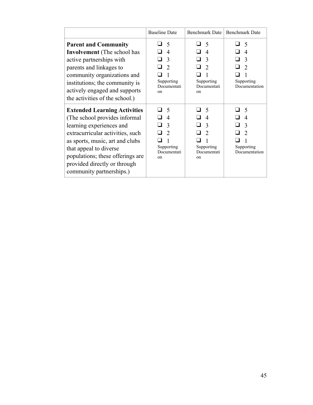|                                                                                                                                                                                                                                                                                                   | <b>Baseline Date</b>                                                                             | <b>Benchmark Date</b>                                                                                                       | <b>Benchmark Date</b>                                                                           |
|---------------------------------------------------------------------------------------------------------------------------------------------------------------------------------------------------------------------------------------------------------------------------------------------------|--------------------------------------------------------------------------------------------------|-----------------------------------------------------------------------------------------------------------------------------|-------------------------------------------------------------------------------------------------|
| <b>Parent and Community</b><br><b>Involvement</b> (The school has<br>active partnerships with<br>parents and linkages to<br>community organizations and<br>institutions; the community is<br>actively engaged and supports<br>the activities of the school.)                                      | ⊿ 5<br>$\overline{4}$<br>3<br>$\overline{2}$<br>Supporting<br>Documentati<br>on                  | - 1<br>- 5<br>$\boldsymbol{\vartriangle}$<br>3<br>$\mathcal{D}_{\mathcal{L}}$<br>Supporting<br>Documentati<br><sub>on</sub> | - 5<br>$\blacksquare$<br>$\overline{4}$<br>3<br>$\overline{2}$<br>Supporting<br>Documentation   |
| <b>Extended Learning Activities</b><br>(The school provides informal<br>learning experiences and<br>extracurricular activities, such<br>as sports, music, art and clubs<br>that appeal to diverse<br>populations; these offerings are<br>provided directly or through<br>community partnerships.) | $\varsigma$<br>$\overline{\mathcal{A}}$<br>3<br>$\mathcal{D}$<br>Supporting<br>Documentati<br>0n | $\overline{\mathcal{L}}$<br>$\boldsymbol{\varDelta}$<br>$\mathcal{E}$<br>$\mathcal{D}$<br>Supporting<br>Documentati<br>on   | -5<br>$\overline{\mathcal{A}}$<br>$\mathcal{E}$<br>$\mathcal{D}$<br>Supporting<br>Documentation |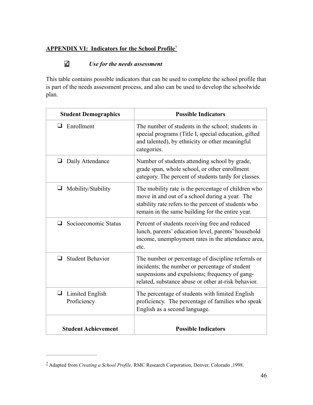## **APPENDIX VI: Indicators for the School Profile**<sup>7</sup>

## *Use for the needs assessment*

This table contains possible indicators that can be used to complete the school profile that is part of the needs assessment process, and also can be used to develop the schoolwide plan.

| <b>Student Demographics</b>         | <b>Possible Indicators</b>                                                                                                                                                                                        |
|-------------------------------------|-------------------------------------------------------------------------------------------------------------------------------------------------------------------------------------------------------------------|
| $\Box$ Enrollment                   | The number of students in the school; students in<br>special programs (Title I, special education, gifted<br>and talented), by ethnicity or other meaningful<br>categories.                                       |
| Daily Attendance<br>⊔               | Number of students attending school by grade,<br>grade span, whole school, or other enrollment<br>category. The percent of students tardy for classes.                                                            |
| $\Box$ Mobility/Stability           | The mobility rate is the percentage of children who<br>move in and out of a school during a year. The<br>stability rate refers to the percent of students who<br>remain in the same building for the entire year. |
| Socioeconomic Status<br>ப           | Percent of students receiving free and reduced<br>lunch, parents' education level, parents' household<br>income, unemployment rates in the attendance area,<br>etc.                                               |
| <b>Student Behavior</b><br>$\Box$   | The number or percentage of discipline referrals or<br>incidents; the number or percentage of student<br>suspensions and expulsions; frequency of gang-<br>related, substance abuse or other at-risk behavior.    |
| Limited English<br>⊔<br>Proficiency | The percentage of students with limited English<br>proficiency. The percentage of families who speak<br>English as a second language.                                                                             |
| <b>Student Achievement</b>          | <b>Possible Indicators</b>                                                                                                                                                                                        |

Adapted from *Creating a School Profile,* RMC Research Corporation, Denver, Colorado ,1998. <sup>7</sup>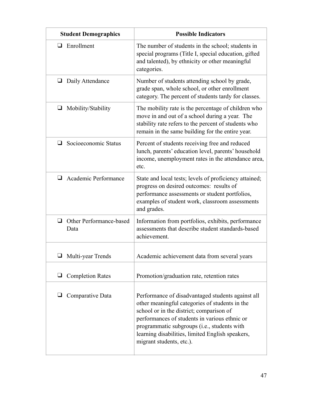| <b>Student Demographics</b>          | <b>Possible Indicators</b>                                                                                                                                                                                                                                                                                                      |
|--------------------------------------|---------------------------------------------------------------------------------------------------------------------------------------------------------------------------------------------------------------------------------------------------------------------------------------------------------------------------------|
| Enrollment<br>ப                      | The number of students in the school; students in<br>special programs (Title I, special education, gifted<br>and talented), by ethnicity or other meaningful<br>categories.                                                                                                                                                     |
| Daily Attendance<br>⊔                | Number of students attending school by grade,<br>grade span, whole school, or other enrollment<br>category. The percent of students tardy for classes.                                                                                                                                                                          |
| $\Box$<br>Mobility/Stability         | The mobility rate is the percentage of children who<br>move in and out of a school during a year. The<br>stability rate refers to the percent of students who<br>remain in the same building for the entire year.                                                                                                               |
| Socioeconomic Status<br>ப            | Percent of students receiving free and reduced<br>lunch, parents' education level, parents' household<br>income, unemployment rates in the attendance area,<br>etc.                                                                                                                                                             |
| Academic Performance<br>ப            | State and local tests; levels of proficiency attained;<br>progress on desired outcomes: results of<br>performance assessments or student portfolios,<br>examples of student work, classroom assessments<br>and grades.                                                                                                          |
| Other Performance-based<br>⊔<br>Data | Information from portfolios, exhibits, performance<br>assessments that describe student standards-based<br>achievement.                                                                                                                                                                                                         |
| Multi-year Trends                    | Academic achievement data from several years                                                                                                                                                                                                                                                                                    |
| <b>Completion Rates</b>              | Promotion/graduation rate, retention rates                                                                                                                                                                                                                                                                                      |
| Comparative Data                     | Performance of disadvantaged students against all<br>other meaningful categories of students in the<br>school or in the district; comparison of<br>performances of students in various ethnic or<br>programmatic subgroups (i.e., students with<br>learning disabilities, limited English speakers,<br>migrant students, etc.). |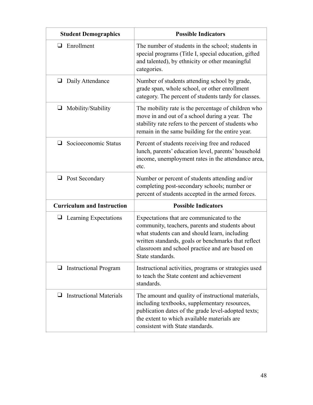| <b>Student Demographics</b>         | <b>Possible Indicators</b>                                                                                                                                                                                                                                                 |
|-------------------------------------|----------------------------------------------------------------------------------------------------------------------------------------------------------------------------------------------------------------------------------------------------------------------------|
| Enrollment<br>⊔                     | The number of students in the school; students in<br>special programs (Title I, special education, gifted<br>and talented), by ethnicity or other meaningful<br>categories.                                                                                                |
| $\Box$<br>Daily Attendance          | Number of students attending school by grade,<br>grade span, whole school, or other enrollment<br>category. The percent of students tardy for classes.                                                                                                                     |
| $\Box$<br>Mobility/Stability        | The mobility rate is the percentage of children who<br>move in and out of a school during a year. The<br>stability rate refers to the percent of students who<br>remain in the same building for the entire year.                                                          |
| ❏<br>Socioeconomic Status           | Percent of students receiving free and reduced<br>lunch, parents' education level, parents' household<br>income, unemployment rates in the attendance area,<br>etc.                                                                                                        |
| $\Box$ Post Secondary               | Number or percent of students attending and/or<br>completing post-secondary schools; number or<br>percent of students accepted in the armed forces.                                                                                                                        |
| <b>Curriculum and Instruction</b>   | <b>Possible Indicators</b>                                                                                                                                                                                                                                                 |
| $\Box$ Learning Expectations        | Expectations that are communicated to the<br>community, teachers, parents and students about<br>what students can and should learn, including<br>written standards, goals or benchmarks that reflect<br>classroom and school practice and are based on<br>State standards. |
| <b>Instructional Program</b><br>⊔   | Instructional activities, programs or strategies used<br>to teach the State content and achievement<br>standards.                                                                                                                                                          |
| <b>Instructional Materials</b><br>ப | The amount and quality of instructional materials,<br>including textbooks, supplementary resources,<br>publication dates of the grade level-adopted texts;<br>the extent to which available materials are<br>consistent with State standards.                              |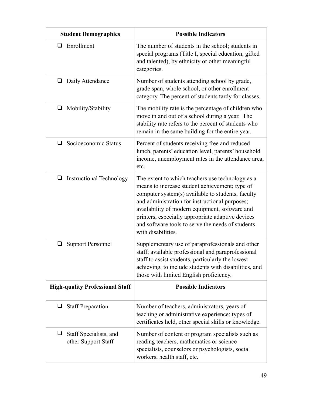| <b>Student Demographics</b>                        | <b>Possible Indicators</b>                                                                                                                                                                                                                                                                                                                                                                  |
|----------------------------------------------------|---------------------------------------------------------------------------------------------------------------------------------------------------------------------------------------------------------------------------------------------------------------------------------------------------------------------------------------------------------------------------------------------|
| Enrollment<br>⊔                                    | The number of students in the school; students in<br>special programs (Title I, special education, gifted<br>and talented), by ethnicity or other meaningful<br>categories.                                                                                                                                                                                                                 |
| ⊔<br>Daily Attendance                              | Number of students attending school by grade,<br>grade span, whole school, or other enrollment<br>category. The percent of students tardy for classes.                                                                                                                                                                                                                                      |
| $\Box$<br>Mobility/Stability                       | The mobility rate is the percentage of children who<br>move in and out of a school during a year. The<br>stability rate refers to the percent of students who<br>remain in the same building for the entire year.                                                                                                                                                                           |
| Socioeconomic Status<br>ப                          | Percent of students receiving free and reduced<br>lunch, parents' education level, parents' household<br>income, unemployment rates in the attendance area,<br>etc.                                                                                                                                                                                                                         |
| <b>Instructional Technology</b><br>⊔               | The extent to which teachers use technology as a<br>means to increase student achievement; type of<br>computer system(s) available to students, faculty<br>and administration for instructional purposes;<br>availability of modern equipment, software and<br>printers, especially appropriate adaptive devices<br>and software tools to serve the needs of students<br>with disabilities. |
| ⊔<br><b>Support Personnel</b>                      | Supplementary use of paraprofessionals and other<br>staff; available professional and paraprofessional<br>staff to assist students, particularly the lowest<br>achieving, to include students with disabilities, and<br>those with limited English proficiency.                                                                                                                             |
| <b>High-quality Professional Staff</b>             | <b>Possible Indicators</b>                                                                                                                                                                                                                                                                                                                                                                  |
| <b>Staff Preparation</b><br>⊔                      | Number of teachers, administrators, years of<br>teaching or administrative experience; types of<br>certificates held, other special skills or knowledge.                                                                                                                                                                                                                                    |
| Staff Specialists, and<br>⊔<br>other Support Staff | Number of content or program specialists such as<br>reading teachers, mathematics or science<br>specialists, counselors or psychologists, social<br>workers, health staff, etc.                                                                                                                                                                                                             |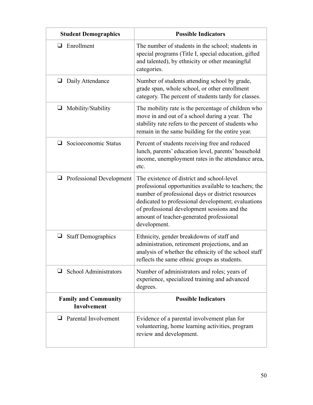| <b>Student Demographics</b>                       | <b>Possible Indicators</b>                                                                                                                                                                                                                                                                                                 |
|---------------------------------------------------|----------------------------------------------------------------------------------------------------------------------------------------------------------------------------------------------------------------------------------------------------------------------------------------------------------------------------|
| Enrollment<br>⊔                                   | The number of students in the school; students in<br>special programs (Title I, special education, gifted<br>and talented), by ethnicity or other meaningful<br>categories.                                                                                                                                                |
| ⊔<br>Daily Attendance                             | Number of students attending school by grade,<br>grade span, whole school, or other enrollment<br>category. The percent of students tardy for classes.                                                                                                                                                                     |
| $\Box$<br>Mobility/Stability                      | The mobility rate is the percentage of children who<br>move in and out of a school during a year. The<br>stability rate refers to the percent of students who<br>remain in the same building for the entire year.                                                                                                          |
| Socioeconomic Status<br>ப                         | Percent of students receiving free and reduced<br>lunch, parents' education level, parents' household<br>income, unemployment rates in the attendance area,<br>etc.                                                                                                                                                        |
| <b>Professional Development</b><br>$\Box$         | The existence of district and school-level<br>professional opportunities available to teachers; the<br>number of professional days or district resources<br>dedicated to professional development; evaluations<br>of professional development sessions and the<br>amount of teacher-generated professional<br>development. |
| <b>Staff Demographics</b><br>⊔                    | Ethnicity, gender breakdowns of staff and<br>administration, retirement projections, and an<br>analysis of whether the ethnicity of the school staff<br>reflects the same ethnic groups as students.                                                                                                                       |
| <b>School Administrators</b><br>❏                 | Number of administrators and roles; years of<br>experience, specialized training and advanced<br>degrees.                                                                                                                                                                                                                  |
| <b>Family and Community</b><br><b>Involvement</b> | <b>Possible Indicators</b>                                                                                                                                                                                                                                                                                                 |
| Parental Involvement<br>ப                         | Evidence of a parental involvement plan for<br>volunteering, home learning activities, program<br>review and development.                                                                                                                                                                                                  |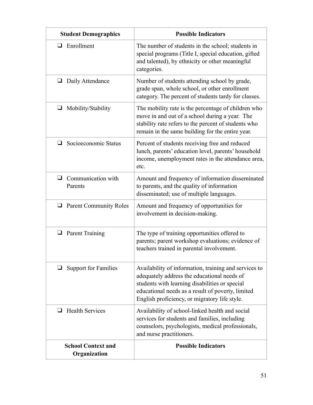| <b>Student Demographics</b>               | <b>Possible Indicators</b>                                                                                                                                                                                                                                   |
|-------------------------------------------|--------------------------------------------------------------------------------------------------------------------------------------------------------------------------------------------------------------------------------------------------------------|
| $\Box$ Enrollment                         | The number of students in the school; students in<br>special programs (Title I, special education, gifted<br>and talented), by ethnicity or other meaningful<br>categories.                                                                                  |
| Daily Attendance<br>⊔                     | Number of students attending school by grade,<br>grade span, whole school, or other enrollment<br>category. The percent of students tardy for classes.                                                                                                       |
| $\Box$ Mobility/Stability                 | The mobility rate is the percentage of children who<br>move in and out of a school during a year. The<br>stability rate refers to the percent of students who<br>remain in the same building for the entire year.                                            |
| Socioeconomic Status<br>$\Box$            | Percent of students receiving free and reduced<br>lunch, parents' education level, parents' household<br>income, unemployment rates in the attendance area,<br>etc.                                                                                          |
| $\Box$ Communication with<br>Parents      | Amount and frequency of information disseminated<br>to parents, and the quality of information<br>disseminated; use of multiple languages.                                                                                                                   |
| $\Box$ Parent Community Roles             | Amount and frequency of opportunities for<br>involvement in decision-making.                                                                                                                                                                                 |
| $\Box$ Parent Training                    | The type of training opportunities offered to<br>parents; parent workshop evaluations; evidence of<br>teachers trained in parental involvement.                                                                                                              |
| <b>Support for Families</b>               | Availability of information, training and services to<br>adequately address the educational needs of<br>students with learning disabilities or special<br>educational needs as a result of poverty, limited<br>English proficiency, or migratory life style. |
| <b>Health Services</b><br>⊔               | Availability of school-linked health and social<br>services for students and families, including<br>counselors, psychologists, medical professionals,<br>and nurse practitioners.                                                                            |
| <b>School Context and</b><br>Organization | <b>Possible Indicators</b>                                                                                                                                                                                                                                   |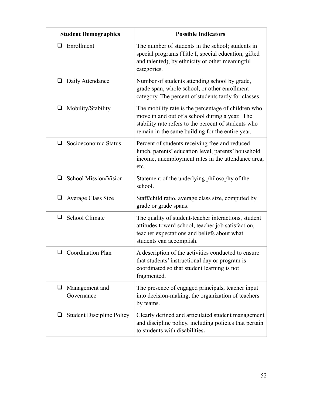| <b>Student Demographics</b>           | <b>Possible Indicators</b>                                                                                                                                                                                        |
|---------------------------------------|-------------------------------------------------------------------------------------------------------------------------------------------------------------------------------------------------------------------|
| Enrollment<br>ப                       | The number of students in the school; students in<br>special programs (Title I, special education, gifted<br>and talented), by ethnicity or other meaningful<br>categories.                                       |
| Daily Attendance<br>⊔                 | Number of students attending school by grade,<br>grade span, whole school, or other enrollment<br>category. The percent of students tardy for classes.                                                            |
| Mobility/Stability<br>$\Box$          | The mobility rate is the percentage of children who<br>move in and out of a school during a year. The<br>stability rate refers to the percent of students who<br>remain in the same building for the entire year. |
| ❏<br>Socioeconomic Status             | Percent of students receiving free and reduced<br>lunch, parents' education level, parents' household<br>income, unemployment rates in the attendance area,<br>etc.                                               |
| <b>School Mission/Vision</b><br>⊔     | Statement of the underlying philosophy of the<br>school.                                                                                                                                                          |
| Average Class Size<br>$\Box$          | Staff/child ratio, average class size, computed by<br>grade or grade spans.                                                                                                                                       |
| School Climate<br>⊔                   | The quality of student-teacher interactions, student<br>attitudes toward school, teacher job satisfaction,<br>teacher expectations and beliefs about what<br>students can accomplish.                             |
| $\Box$ Coordination Plan              | A description of the activities conducted to ensure<br>that students' instructional day or program is<br>coordinated so that student learning is not<br>fragmented.                                               |
| Management and<br>⊔<br>Governance     | The presence of engaged principals, teacher input<br>into decision-making, the organization of teachers<br>by teams.                                                                                              |
| ⊔<br><b>Student Discipline Policy</b> | Clearly defined and articulated student management<br>and discipline policy, including policies that pertain<br>to students with disabilities.                                                                    |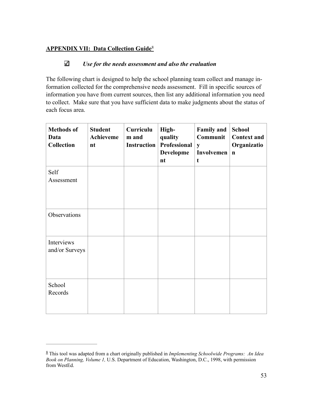## **APPENDIX VII: Data Collection Guide**<sup>8</sup>

#### К *Use for the needs assessment and also the evaluation*

The following chart is designed to help the school planning team collect and manage information collected for the comprehensive needs assessment. Fill in specific sources of information you have from current sources, then list any additional information you need to collect. Make sure that you have sufficient data to make judgments about the status of each focus area.

| <b>Methods of</b><br>Data<br><b>Collection</b> | <b>Student</b><br>Achieveme<br>nt | Curriculu<br>m and<br><b>Instruction</b> | High-<br>quality<br><b>Professional</b><br><b>Developme</b><br>nt | <b>Family and</b><br>Communit<br>$\mathbf{y}$<br>Involvemen<br>t | <b>School</b><br><b>Context and</b><br>Organizatio<br>$\mathbf n$ |
|------------------------------------------------|-----------------------------------|------------------------------------------|-------------------------------------------------------------------|------------------------------------------------------------------|-------------------------------------------------------------------|
| Self<br>Assessment                             |                                   |                                          |                                                                   |                                                                  |                                                                   |
| Observations                                   |                                   |                                          |                                                                   |                                                                  |                                                                   |
| Interviews<br>and/or Surveys                   |                                   |                                          |                                                                   |                                                                  |                                                                   |
| School<br>Records                              |                                   |                                          |                                                                   |                                                                  |                                                                   |

This tool was adapted from a chart originally published in *Implementing Schoolwide Programs: An Idea* <sup>8</sup> *Book on Planning, Volume 1,* U.S. Department of Education, Washington, D.C., 1998, with permission from WestEd.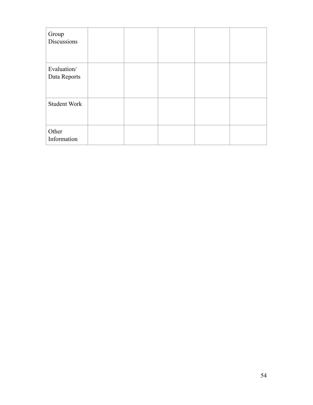| Group<br>Discussions        |  |  |  |
|-----------------------------|--|--|--|
| Evaluation/<br>Data Reports |  |  |  |
| <b>Student Work</b>         |  |  |  |
| Other<br>Information        |  |  |  |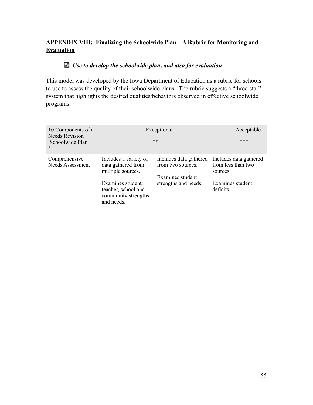## **APPENDIX VIII: Finalizing the Schoolwide Plan – A Rubric for Monitoring and Evaluation**

## *Use to develop the schoolwide plan, and also for evaluation*

This model was developed by the Iowa Department of Education as a rubric for schools to use to assess the quality of their schoolwide plans. The rubric suggests a "three-star" system that highlights the desired qualities/behaviors observed in effective schoolwide programs.

| 10 Components of a<br><b>Needs Revision</b><br>Schoolwide Plan<br>$\mathcal{M}$ | Exceptional<br>* *                                                            | Acceptable<br>***                                               |                                                          |
|---------------------------------------------------------------------------------|-------------------------------------------------------------------------------|-----------------------------------------------------------------|----------------------------------------------------------|
| Comprehensive<br><b>Needs Assessment</b>                                        | Includes a variety of<br>data gathered from<br>multiple sources.              | Includes data gathered<br>from two sources.<br>Examines student | Includes data gathered<br>from less than two<br>sources. |
|                                                                                 | Examines student,<br>teacher, school and<br>community strengths<br>and needs. | strengths and needs.                                            | Examines student<br>deficits.                            |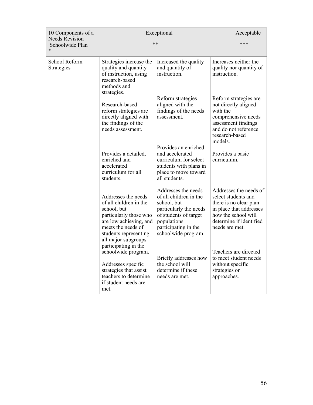| 10 Components of a<br><b>Needs Revision</b> | Exceptional                                                                                                                                                                            | Acceptable                                                                                                                                                                    |                                                                                                                                                                        |
|---------------------------------------------|----------------------------------------------------------------------------------------------------------------------------------------------------------------------------------------|-------------------------------------------------------------------------------------------------------------------------------------------------------------------------------|------------------------------------------------------------------------------------------------------------------------------------------------------------------------|
| Schoolwide Plan                             |                                                                                                                                                                                        |                                                                                                                                                                               |                                                                                                                                                                        |
| School Reform<br><b>Strategies</b>          | Strategies increase the<br>quality and quantity<br>of instruction, using<br>research-based<br>methods and<br>strategies.                                                               | Increased the quality<br>and quantity of<br>instruction.                                                                                                                      | Increases neither the<br>quality nor quantity of<br>instruction.                                                                                                       |
|                                             | Research-based<br>reform strategies are<br>directly aligned with<br>the findings of the<br>needs assessment.                                                                           | Reform strategies<br>aligned with the<br>findings of the needs<br>assessment.                                                                                                 | Reform strategies are<br>not directly aligned<br>with the<br>comprehensive needs<br>assessment findings<br>and do not reference<br>research-based<br>models.           |
|                                             | Provides a detailed,<br>enriched and<br>accelerated<br>curriculum for all<br>students.                                                                                                 | Provides an enriched<br>and accelerated<br>curriculum for select<br>students with plans in<br>place to move toward<br>all students.                                           | Provides a basic<br>curriculum.                                                                                                                                        |
|                                             | Addresses the needs<br>of all children in the<br>school, but<br>particularly those who<br>are low achieving, and<br>meets the needs of<br>students representing<br>all major subgroups | Addresses the needs<br>of all children in the<br>school, but<br>particularly the needs<br>of students of target<br>populations<br>participating in the<br>schoolwide program. | Addresses the needs of<br>select students and<br>there is no clear plan<br>in place that addresses<br>how the school will<br>determine if identified<br>needs are met. |
|                                             | participating in the<br>schoolwide program.<br>Addresses specific<br>strategies that assist<br>teachers to determine<br>if student needs are<br>met.                                   | Briefly addresses how<br>the school will<br>determine if these<br>needs are met.                                                                                              | Teachers are directed<br>to meet student needs<br>without specific<br>strategies or<br>approaches.                                                                     |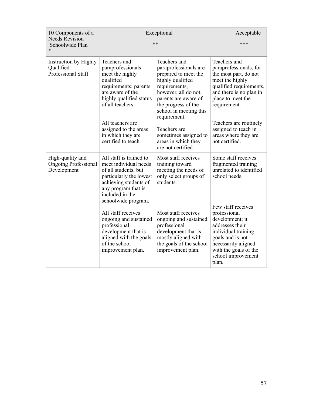| 10 Components of a<br><b>Needs Revision</b>                    | Exceptional                                                                                                                                                                                                                                                                                                                                         | Acceptable                                                                                                                                                                                                                                                                                                |                                                                                                                                                                                                                                                                                              |
|----------------------------------------------------------------|-----------------------------------------------------------------------------------------------------------------------------------------------------------------------------------------------------------------------------------------------------------------------------------------------------------------------------------------------------|-----------------------------------------------------------------------------------------------------------------------------------------------------------------------------------------------------------------------------------------------------------------------------------------------------------|----------------------------------------------------------------------------------------------------------------------------------------------------------------------------------------------------------------------------------------------------------------------------------------------|
| Schoolwide Plan                                                |                                                                                                                                                                                                                                                                                                                                                     |                                                                                                                                                                                                                                                                                                           |                                                                                                                                                                                                                                                                                              |
| Instruction by Highly<br>Qualified<br>Professional Staff       | Teachers and<br>paraprofessionals<br>meet the highly<br>qualified<br>requirements; parents<br>are aware of the<br>highly qualified status<br>of all teachers.<br>All teachers are<br>assigned to the areas<br>in which they are<br>certified to teach.                                                                                              | Teachers and<br>paraprofessionals are<br>prepared to meet the<br>highly qualified<br>requirements,<br>however, all do not;<br>parents are aware of<br>the progress of the<br>school in meeting this<br>requirement.<br>Teachers are<br>sometimes assigned to<br>areas in which they<br>are not certified. | Teachers and<br>paraprofessionals, for<br>the most part, do not<br>meet the highly<br>qualified requirements,<br>and there is no plan in<br>place to meet the<br>requirement.<br>Teachers are routinely<br>assigned to teach in<br>areas where they are<br>not certified.                    |
| High-quality and<br><b>Ongoing Professional</b><br>Development | All staff is trained to<br>meet individual needs<br>of all students, but<br>particularly the lowest<br>achieving students of<br>any program that is<br>included in the<br>schoolwide program.<br>All staff receives<br>ongoing and sustained<br>professional<br>development that is<br>aligned with the goals<br>of the school<br>improvement plan. | Most staff receives<br>training toward<br>meeting the needs of<br>only select groups of<br>students.<br>Most staff receives<br>ongoing and sustained<br>professional<br>development that is<br>mostly aligned with<br>the goals of the school<br>improvement plan.                                        | Some staff receives<br>fragmented training<br>unrelated to identified<br>school needs.<br>Few staff receives<br>professional<br>development; it<br>addresses their<br>individual training<br>goals and is not<br>necessarily aligned<br>with the goals of the<br>school improvement<br>plan. |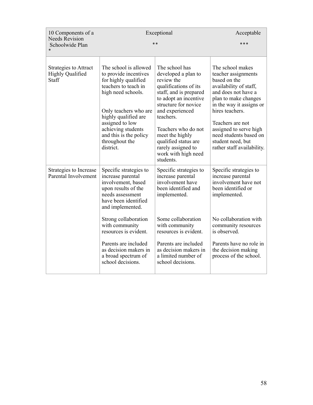| 10 Components of a<br><b>Needs Revision</b>               | Exceptional                                                                                                                                                                                                                                                             | Acceptable                                                                                                                                                                                                                                                                                                          |                                                                                                                                                                                                                                                                                                            |
|-----------------------------------------------------------|-------------------------------------------------------------------------------------------------------------------------------------------------------------------------------------------------------------------------------------------------------------------------|---------------------------------------------------------------------------------------------------------------------------------------------------------------------------------------------------------------------------------------------------------------------------------------------------------------------|------------------------------------------------------------------------------------------------------------------------------------------------------------------------------------------------------------------------------------------------------------------------------------------------------------|
| Schoolwide Plan                                           |                                                                                                                                                                                                                                                                         |                                                                                                                                                                                                                                                                                                                     |                                                                                                                                                                                                                                                                                                            |
| Strategies to Attract<br><b>Highly Qualified</b><br>Staff | The school is allowed<br>to provide incentives<br>for highly qualified<br>teachers to teach in<br>high need schools.<br>Only teachers who are<br>highly qualified are<br>assigned to low<br>achieving students<br>and this is the policy<br>throughout the<br>district. | The school has<br>developed a plan to<br>review the<br>qualifications of its<br>staff, and is prepared<br>to adopt an incentive<br>structure for novice<br>and experienced<br>teachers.<br>Teachers who do not<br>meet the highly<br>qualified status are<br>rarely assigned to<br>work with high need<br>students. | The school makes<br>teacher assignments<br>based on the<br>availability of staff,<br>and does not have a<br>plan to make changes<br>in the way it assigns or<br>hires teachers.<br>Teachers are not<br>assigned to serve high<br>need students based on<br>student need, but<br>rather staff availability. |
| Strategies to Increase<br>Parental Involvement            | Specific strategies to<br>increase parental<br>involvement, based<br>upon results of the<br>needs assessment<br>have been identified<br>and implemented.                                                                                                                | Specific strategies to<br>increase parental<br>involvement have<br>been identified and<br>implemented.                                                                                                                                                                                                              | Specific strategies to<br>increase parental<br>involvement have not<br>been identified or<br>implemented.                                                                                                                                                                                                  |
|                                                           | Strong collaboration<br>with community<br>resources is evident.                                                                                                                                                                                                         | Some collaboration<br>with community<br>resources is evident.                                                                                                                                                                                                                                                       | No collaboration with<br>community resources<br>is observed.                                                                                                                                                                                                                                               |
|                                                           | Parents are included<br>as decision makers in<br>a broad spectrum of<br>school decisions.                                                                                                                                                                               | Parents are included<br>as decision makers in<br>a limited number of<br>school decisions.                                                                                                                                                                                                                           | Parents have no role in<br>the decision making<br>process of the school.                                                                                                                                                                                                                                   |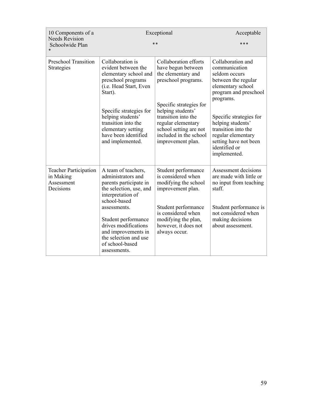| 10 Components of a<br><b>Needs Revision</b>                          | Exceptional                                                                                                                                            | Acceptable                                                                                                                               |                                                                                                                                                     |
|----------------------------------------------------------------------|--------------------------------------------------------------------------------------------------------------------------------------------------------|------------------------------------------------------------------------------------------------------------------------------------------|-----------------------------------------------------------------------------------------------------------------------------------------------------|
| Schoolwide Plan                                                      |                                                                                                                                                        |                                                                                                                                          |                                                                                                                                                     |
| <b>Preschool Transition</b><br><b>Strategies</b>                     | Collaboration is<br>evident between the<br>elementary school and<br>preschool programs<br>(i.e. Head Start, Even<br>Start).<br>Specific strategies for | Collaboration efforts<br>have begun between<br>the elementary and<br>preschool programs.<br>Specific strategies for<br>helping students' | Collaboration and<br>communication<br>seldom occurs<br>between the regular<br>elementary school<br>program and preschool<br>programs.               |
|                                                                      | helping students'<br>transition into the<br>elementary setting<br>have been identified<br>and implemented.                                             | transition into the<br>regular elementary<br>school setting are not<br>included in the school<br>improvement plan.                       | Specific strategies for<br>helping students'<br>transition into the<br>regular elementary<br>setting have not been<br>identified or<br>implemented. |
| <b>Teacher Participation</b><br>in Making<br>Assessment<br>Decisions | A team of teachers,<br>administrators and<br>parents participate in<br>the selection, use, and<br>interpretation of<br>school-based                    | Student performance<br>is considered when<br>modifying the school<br>improvement plan.                                                   | Assessment decisions<br>are made with little or<br>no input from teaching<br>staff                                                                  |
|                                                                      | assessments.<br>Student performance<br>drives modifications<br>and improvements in<br>the selection and use<br>of school-based<br>assessments.         | Student performance<br>is considered when<br>modifying the plan,<br>however, it does not<br>always occur.                                | Student performance is<br>not considered when<br>making decisions<br>about assessment.                                                              |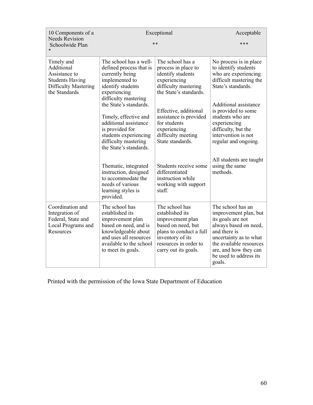| 10 Components of a                                                                                           | Exceptional                                                                                                                                                                      | Acceptable                                                                                                                                                                  |                                                                                                                                                                                                                            |
|--------------------------------------------------------------------------------------------------------------|----------------------------------------------------------------------------------------------------------------------------------------------------------------------------------|-----------------------------------------------------------------------------------------------------------------------------------------------------------------------------|----------------------------------------------------------------------------------------------------------------------------------------------------------------------------------------------------------------------------|
| <b>Needs Revision</b><br>Schoolwide Plan                                                                     |                                                                                                                                                                                  |                                                                                                                                                                             |                                                                                                                                                                                                                            |
| Timely and<br>Additional<br>Assistance to<br><b>Students Having</b><br>Difficulty Mastering<br>the Standards | The school has a well-<br>defined process that is<br>currently being<br>implemented to<br>identify students<br>experiencing<br>difficulty mastering                              | The school has a<br>process in place to<br>identify students<br>experiencing<br>difficulty mastering<br>the State's standards.                                              | No process is in place.<br>to identify students<br>who are experiencing<br>difficult mastering the<br>State's standards.                                                                                                   |
|                                                                                                              | the State's standards.<br>Timely, effective and<br>additional assistance<br>is provided for<br>students experiencing<br>difficulty mastering<br>the State's standards.           | Effective, additional<br>assistance is provided<br>for students<br>experiencing<br>difficulty meeting<br>State standards.                                                   | Additional assistance<br>is provided to some<br>students who are<br>experiencing<br>difficulty, but the<br>intervention is not<br>regular and ongoing.                                                                     |
|                                                                                                              | Thematic, integrated<br>instruction, designed<br>to accommodate the<br>needs of various<br>learning styles is<br>provided.                                                       | Students receive some<br>differentiated<br>instruction while<br>working with support<br>staff.                                                                              | All students are taught<br>using the same<br>methods.                                                                                                                                                                      |
| Coordination and<br>Integration of<br>Federal, State and<br>Local Programs and<br>Resources                  | The school has<br>established its<br>improvement plan<br>based on need, and is<br>knowledgeable about<br>and uses all resources<br>available to the school<br>to meet its goals. | The school has<br>established its<br>improvement plan<br>based on need, but<br>plans to conduct a full<br>inventory of its<br>resources in order to<br>carry out its goals. | The school has an<br>improvement plan, but<br>its goals are not<br>always based on need,<br>and there is<br>uncertainty as to what<br>the available resources<br>are, and how they can<br>be used to address its<br>goals. |

Printed with the permission of the Iowa State Department of Education